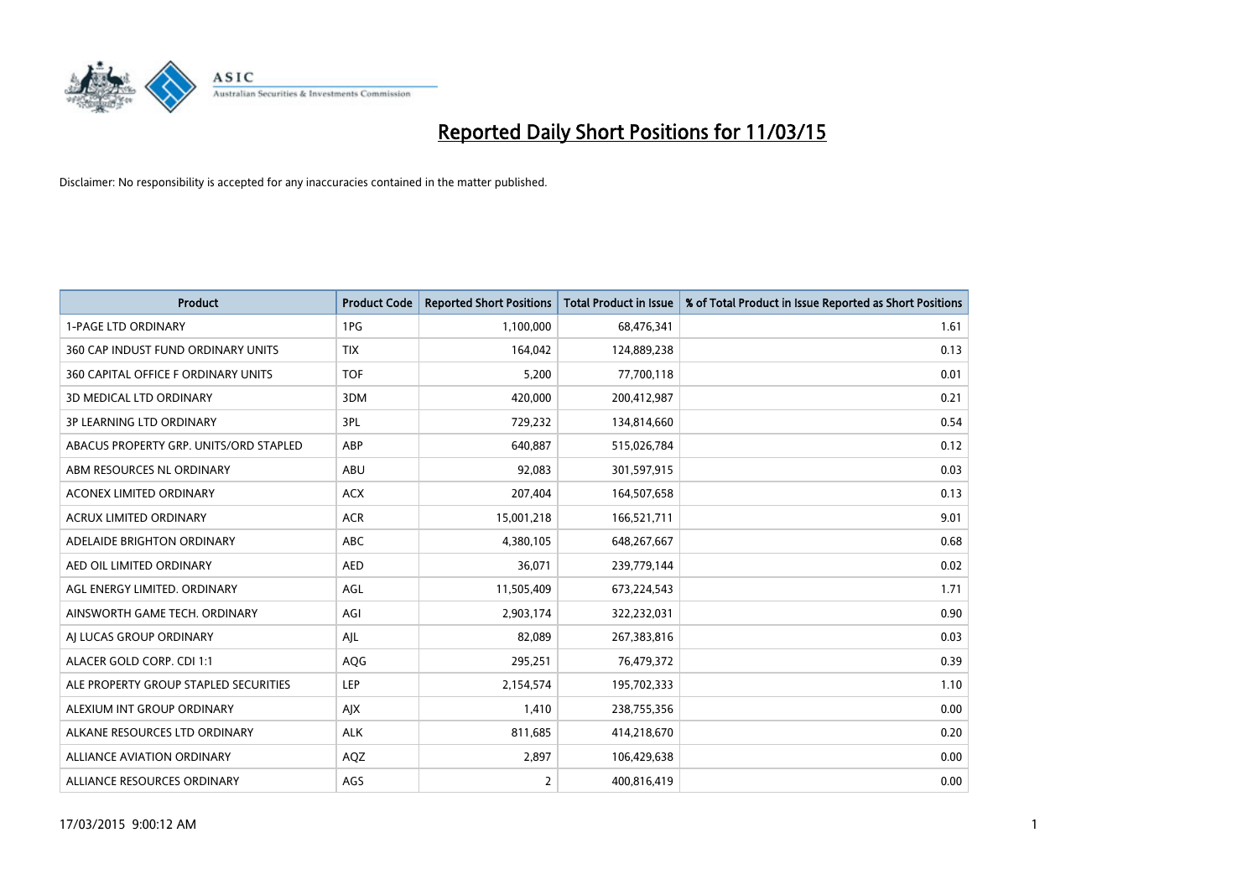

| <b>Product</b>                         | <b>Product Code</b> | <b>Reported Short Positions</b> | <b>Total Product in Issue</b> | % of Total Product in Issue Reported as Short Positions |
|----------------------------------------|---------------------|---------------------------------|-------------------------------|---------------------------------------------------------|
| <b>1-PAGE LTD ORDINARY</b>             | 1PG                 | 1,100,000                       | 68,476,341                    | 1.61                                                    |
| 360 CAP INDUST FUND ORDINARY UNITS     | <b>TIX</b>          | 164,042                         | 124,889,238                   | 0.13                                                    |
| 360 CAPITAL OFFICE F ORDINARY UNITS    | <b>TOF</b>          | 5,200                           | 77,700,118                    | 0.01                                                    |
| <b>3D MEDICAL LTD ORDINARY</b>         | 3DM                 | 420,000                         | 200,412,987                   | 0.21                                                    |
| <b>3P LEARNING LTD ORDINARY</b>        | 3PL                 | 729,232                         | 134,814,660                   | 0.54                                                    |
| ABACUS PROPERTY GRP. UNITS/ORD STAPLED | ABP                 | 640,887                         | 515,026,784                   | 0.12                                                    |
| ABM RESOURCES NL ORDINARY              | ABU                 | 92,083                          | 301,597,915                   | 0.03                                                    |
| ACONEX LIMITED ORDINARY                | <b>ACX</b>          | 207,404                         | 164,507,658                   | 0.13                                                    |
| <b>ACRUX LIMITED ORDINARY</b>          | <b>ACR</b>          | 15,001,218                      | 166,521,711                   | 9.01                                                    |
| ADELAIDE BRIGHTON ORDINARY             | <b>ABC</b>          | 4,380,105                       | 648,267,667                   | 0.68                                                    |
| AED OIL LIMITED ORDINARY               | <b>AED</b>          | 36,071                          | 239,779,144                   | 0.02                                                    |
| AGL ENERGY LIMITED. ORDINARY           | AGL                 | 11,505,409                      | 673,224,543                   | 1.71                                                    |
| AINSWORTH GAME TECH. ORDINARY          | AGI                 | 2,903,174                       | 322,232,031                   | 0.90                                                    |
| AI LUCAS GROUP ORDINARY                | AJL                 | 82,089                          | 267,383,816                   | 0.03                                                    |
| ALACER GOLD CORP. CDI 1:1              | AQG                 | 295,251                         | 76,479,372                    | 0.39                                                    |
| ALE PROPERTY GROUP STAPLED SECURITIES  | LEP                 | 2,154,574                       | 195,702,333                   | 1.10                                                    |
| ALEXIUM INT GROUP ORDINARY             | AJX                 | 1,410                           | 238,755,356                   | 0.00                                                    |
| ALKANE RESOURCES LTD ORDINARY          | <b>ALK</b>          | 811,685                         | 414,218,670                   | 0.20                                                    |
| <b>ALLIANCE AVIATION ORDINARY</b>      | AQZ                 | 2,897                           | 106,429,638                   | 0.00                                                    |
| ALLIANCE RESOURCES ORDINARY            | AGS                 | $\overline{2}$                  | 400,816,419                   | 0.00                                                    |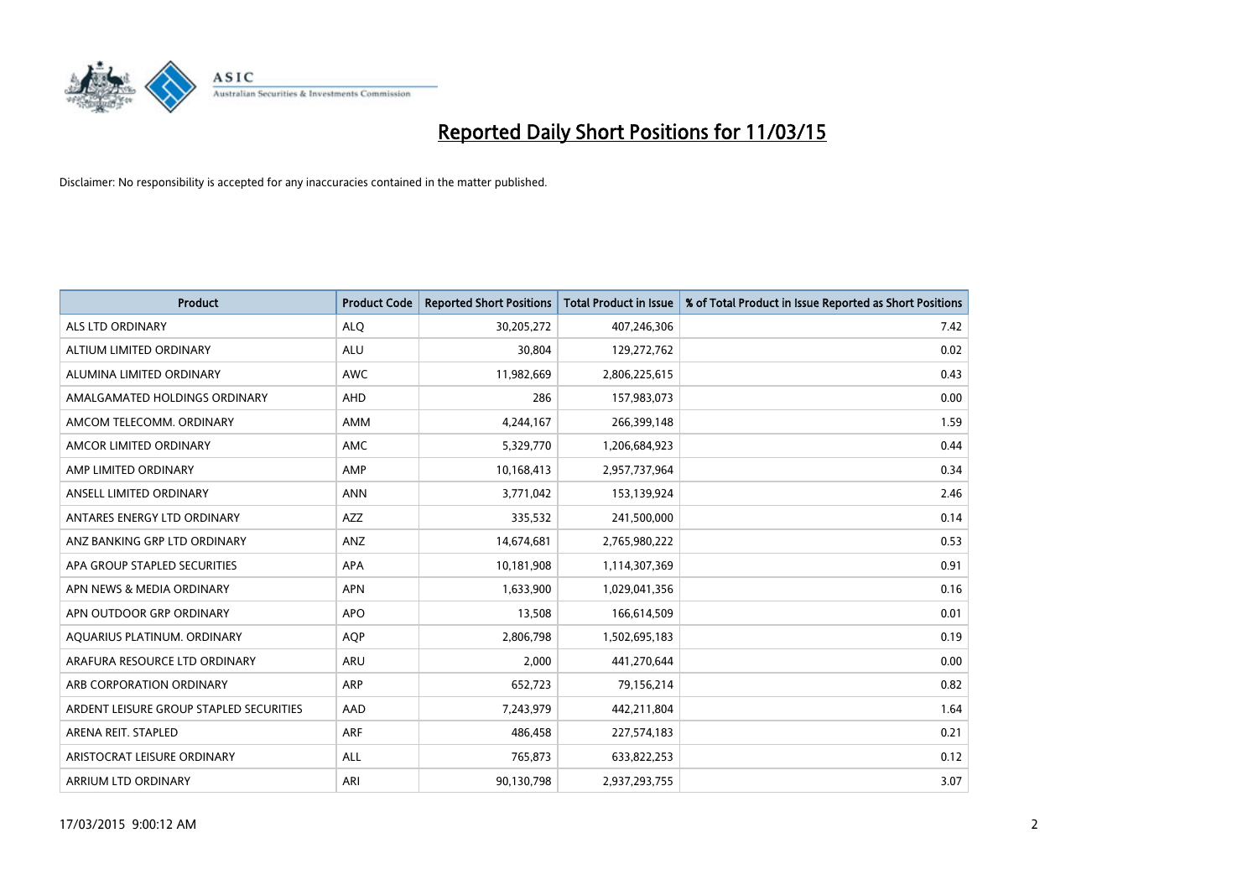

| <b>Product</b>                          | <b>Product Code</b> | <b>Reported Short Positions</b> | <b>Total Product in Issue</b> | % of Total Product in Issue Reported as Short Positions |
|-----------------------------------------|---------------------|---------------------------------|-------------------------------|---------------------------------------------------------|
| <b>ALS LTD ORDINARY</b>                 | <b>ALQ</b>          | 30,205,272                      | 407,246,306                   | 7.42                                                    |
| ALTIUM LIMITED ORDINARY                 | <b>ALU</b>          | 30,804                          | 129,272,762                   | 0.02                                                    |
| ALUMINA LIMITED ORDINARY                | <b>AWC</b>          | 11,982,669                      | 2,806,225,615                 | 0.43                                                    |
| AMALGAMATED HOLDINGS ORDINARY           | <b>AHD</b>          | 286                             | 157,983,073                   | 0.00                                                    |
| AMCOM TELECOMM, ORDINARY                | <b>AMM</b>          | 4,244,167                       | 266,399,148                   | 1.59                                                    |
| AMCOR LIMITED ORDINARY                  | <b>AMC</b>          | 5,329,770                       | 1,206,684,923                 | 0.44                                                    |
| AMP LIMITED ORDINARY                    | AMP                 | 10,168,413                      | 2,957,737,964                 | 0.34                                                    |
| ANSELL LIMITED ORDINARY                 | <b>ANN</b>          | 3,771,042                       | 153,139,924                   | 2.46                                                    |
| ANTARES ENERGY LTD ORDINARY             | <b>AZZ</b>          | 335,532                         | 241,500,000                   | 0.14                                                    |
| ANZ BANKING GRP LTD ORDINARY            | ANZ                 | 14,674,681                      | 2,765,980,222                 | 0.53                                                    |
| APA GROUP STAPLED SECURITIES            | APA                 | 10,181,908                      | 1,114,307,369                 | 0.91                                                    |
| APN NEWS & MEDIA ORDINARY               | <b>APN</b>          | 1,633,900                       | 1,029,041,356                 | 0.16                                                    |
| APN OUTDOOR GRP ORDINARY                | <b>APO</b>          | 13,508                          | 166,614,509                   | 0.01                                                    |
| AQUARIUS PLATINUM. ORDINARY             | <b>AOP</b>          | 2,806,798                       | 1,502,695,183                 | 0.19                                                    |
| ARAFURA RESOURCE LTD ORDINARY           | <b>ARU</b>          | 2,000                           | 441,270,644                   | 0.00                                                    |
| ARB CORPORATION ORDINARY                | ARP                 | 652,723                         | 79,156,214                    | 0.82                                                    |
| ARDENT LEISURE GROUP STAPLED SECURITIES | AAD                 | 7,243,979                       | 442,211,804                   | 1.64                                                    |
| ARENA REIT. STAPLED                     | <b>ARF</b>          | 486,458                         | 227,574,183                   | 0.21                                                    |
| ARISTOCRAT LEISURE ORDINARY             | <b>ALL</b>          | 765,873                         | 633,822,253                   | 0.12                                                    |
| ARRIUM LTD ORDINARY                     | ARI                 | 90,130,798                      | 2,937,293,755                 | 3.07                                                    |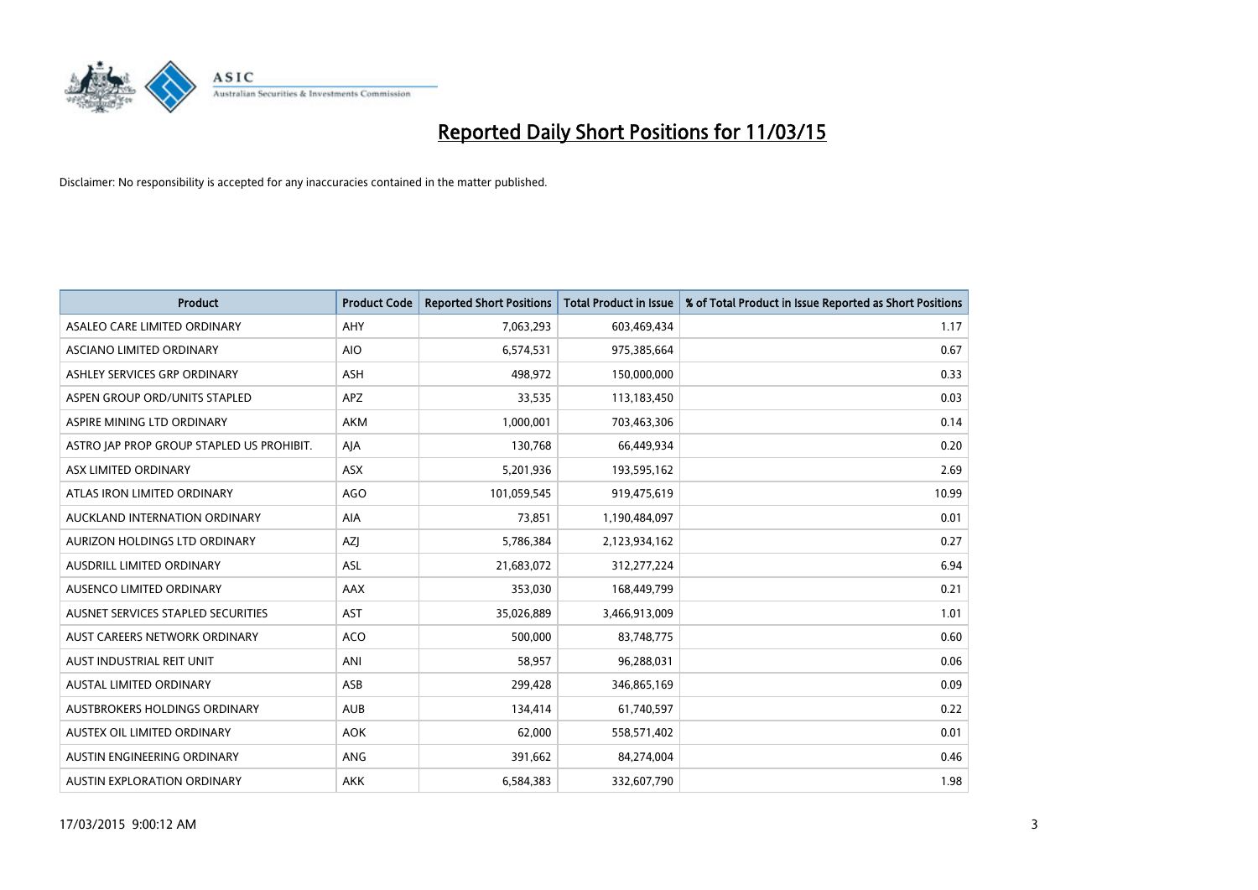

| <b>Product</b>                            | <b>Product Code</b> | <b>Reported Short Positions</b> | <b>Total Product in Issue</b> | % of Total Product in Issue Reported as Short Positions |
|-------------------------------------------|---------------------|---------------------------------|-------------------------------|---------------------------------------------------------|
| ASALEO CARE LIMITED ORDINARY              | AHY                 | 7,063,293                       | 603,469,434                   | 1.17                                                    |
| ASCIANO LIMITED ORDINARY                  | <b>AIO</b>          | 6,574,531                       | 975,385,664                   | 0.67                                                    |
| ASHLEY SERVICES GRP ORDINARY              | <b>ASH</b>          | 498,972                         | 150,000,000                   | 0.33                                                    |
| ASPEN GROUP ORD/UNITS STAPLED             | APZ                 | 33,535                          | 113,183,450                   | 0.03                                                    |
| ASPIRE MINING LTD ORDINARY                | <b>AKM</b>          | 1,000,001                       | 703,463,306                   | 0.14                                                    |
| ASTRO JAP PROP GROUP STAPLED US PROHIBIT. | AJA                 | 130,768                         | 66,449,934                    | 0.20                                                    |
| ASX LIMITED ORDINARY                      | ASX                 | 5,201,936                       | 193,595,162                   | 2.69                                                    |
| ATLAS IRON LIMITED ORDINARY               | <b>AGO</b>          | 101,059,545                     | 919,475,619                   | 10.99                                                   |
| AUCKLAND INTERNATION ORDINARY             | <b>AIA</b>          | 73,851                          | 1,190,484,097                 | 0.01                                                    |
| AURIZON HOLDINGS LTD ORDINARY             | AZI                 | 5,786,384                       | 2,123,934,162                 | 0.27                                                    |
| AUSDRILL LIMITED ORDINARY                 | ASL                 | 21,683,072                      | 312,277,224                   | 6.94                                                    |
| AUSENCO LIMITED ORDINARY                  | AAX                 | 353,030                         | 168,449,799                   | 0.21                                                    |
| AUSNET SERVICES STAPLED SECURITIES        | <b>AST</b>          | 35,026,889                      | 3,466,913,009                 | 1.01                                                    |
| AUST CAREERS NETWORK ORDINARY             | <b>ACO</b>          | 500,000                         | 83,748,775                    | 0.60                                                    |
| AUST INDUSTRIAL REIT UNIT                 | ANI                 | 58,957                          | 96,288,031                    | 0.06                                                    |
| AUSTAL LIMITED ORDINARY                   | ASB                 | 299,428                         | 346,865,169                   | 0.09                                                    |
| AUSTBROKERS HOLDINGS ORDINARY             | <b>AUB</b>          | 134,414                         | 61,740,597                    | 0.22                                                    |
| AUSTEX OIL LIMITED ORDINARY               | <b>AOK</b>          | 62,000                          | 558,571,402                   | 0.01                                                    |
| AUSTIN ENGINEERING ORDINARY               | ANG                 | 391,662                         | 84,274,004                    | 0.46                                                    |
| <b>AUSTIN EXPLORATION ORDINARY</b>        | <b>AKK</b>          | 6,584,383                       | 332,607,790                   | 1.98                                                    |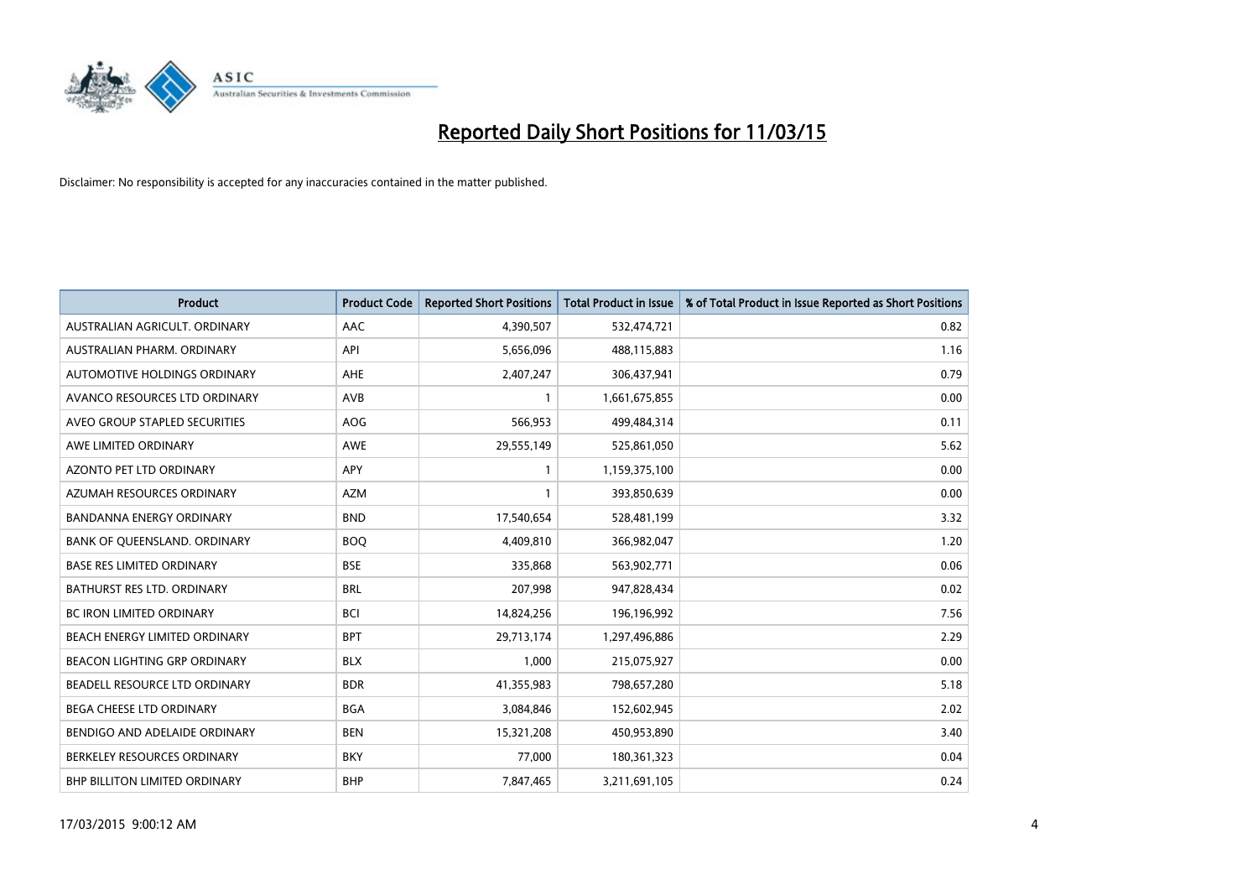

| <b>Product</b>                      | <b>Product Code</b> | <b>Reported Short Positions</b> | <b>Total Product in Issue</b> | % of Total Product in Issue Reported as Short Positions |
|-------------------------------------|---------------------|---------------------------------|-------------------------------|---------------------------------------------------------|
| AUSTRALIAN AGRICULT, ORDINARY       | AAC                 | 4,390,507                       | 532,474,721                   | 0.82                                                    |
| AUSTRALIAN PHARM. ORDINARY          | API                 | 5,656,096                       | 488,115,883                   | 1.16                                                    |
| AUTOMOTIVE HOLDINGS ORDINARY        | AHE                 | 2,407,247                       | 306,437,941                   | 0.79                                                    |
| AVANCO RESOURCES LTD ORDINARY       | AVB                 | 1                               | 1,661,675,855                 | 0.00                                                    |
| AVEO GROUP STAPLED SECURITIES       | AOG                 | 566,953                         | 499,484,314                   | 0.11                                                    |
| AWE LIMITED ORDINARY                | AWE                 | 29,555,149                      | 525,861,050                   | 5.62                                                    |
| AZONTO PET LTD ORDINARY             | <b>APY</b>          |                                 | 1,159,375,100                 | 0.00                                                    |
| AZUMAH RESOURCES ORDINARY           | <b>AZM</b>          | 1                               | 393,850,639                   | 0.00                                                    |
| <b>BANDANNA ENERGY ORDINARY</b>     | <b>BND</b>          | 17,540,654                      | 528,481,199                   | 3.32                                                    |
| BANK OF QUEENSLAND. ORDINARY        | <b>BOQ</b>          | 4,409,810                       | 366,982,047                   | 1.20                                                    |
| <b>BASE RES LIMITED ORDINARY</b>    | <b>BSE</b>          | 335,868                         | 563,902,771                   | 0.06                                                    |
| BATHURST RES LTD. ORDINARY          | <b>BRL</b>          | 207,998                         | 947,828,434                   | 0.02                                                    |
| <b>BC IRON LIMITED ORDINARY</b>     | <b>BCI</b>          | 14,824,256                      | 196,196,992                   | 7.56                                                    |
| BEACH ENERGY LIMITED ORDINARY       | <b>BPT</b>          | 29,713,174                      | 1,297,496,886                 | 2.29                                                    |
| <b>BEACON LIGHTING GRP ORDINARY</b> | <b>BLX</b>          | 1,000                           | 215,075,927                   | 0.00                                                    |
| BEADELL RESOURCE LTD ORDINARY       | <b>BDR</b>          | 41,355,983                      | 798,657,280                   | 5.18                                                    |
| BEGA CHEESE LTD ORDINARY            | <b>BGA</b>          | 3,084,846                       | 152,602,945                   | 2.02                                                    |
| BENDIGO AND ADELAIDE ORDINARY       | <b>BEN</b>          | 15,321,208                      | 450,953,890                   | 3.40                                                    |
| BERKELEY RESOURCES ORDINARY         | <b>BKY</b>          | 77,000                          | 180,361,323                   | 0.04                                                    |
| BHP BILLITON LIMITED ORDINARY       | <b>BHP</b>          | 7,847,465                       | 3,211,691,105                 | 0.24                                                    |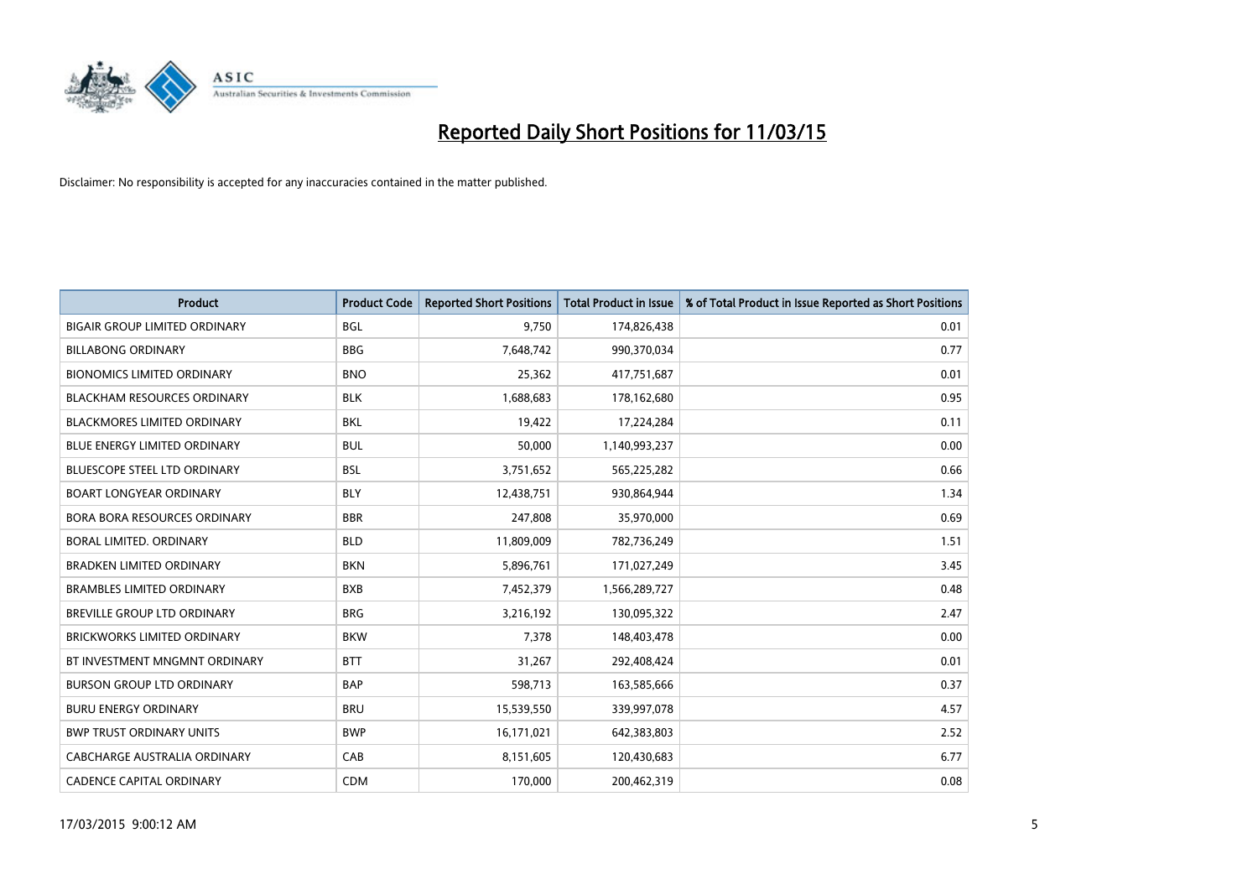

| <b>Product</b>                       | <b>Product Code</b> | <b>Reported Short Positions</b> | <b>Total Product in Issue</b> | % of Total Product in Issue Reported as Short Positions |
|--------------------------------------|---------------------|---------------------------------|-------------------------------|---------------------------------------------------------|
| <b>BIGAIR GROUP LIMITED ORDINARY</b> | <b>BGL</b>          | 9,750                           | 174,826,438                   | 0.01                                                    |
| <b>BILLABONG ORDINARY</b>            | <b>BBG</b>          | 7,648,742                       | 990,370,034                   | 0.77                                                    |
| <b>BIONOMICS LIMITED ORDINARY</b>    | <b>BNO</b>          | 25,362                          | 417,751,687                   | 0.01                                                    |
| <b>BLACKHAM RESOURCES ORDINARY</b>   | <b>BLK</b>          | 1,688,683                       | 178,162,680                   | 0.95                                                    |
| <b>BLACKMORES LIMITED ORDINARY</b>   | <b>BKL</b>          | 19,422                          | 17,224,284                    | 0.11                                                    |
| <b>BLUE ENERGY LIMITED ORDINARY</b>  | <b>BUL</b>          | 50,000                          | 1,140,993,237                 | 0.00                                                    |
| <b>BLUESCOPE STEEL LTD ORDINARY</b>  | <b>BSL</b>          | 3,751,652                       | 565,225,282                   | 0.66                                                    |
| <b>BOART LONGYEAR ORDINARY</b>       | <b>BLY</b>          | 12,438,751                      | 930,864,944                   | 1.34                                                    |
| <b>BORA BORA RESOURCES ORDINARY</b>  | <b>BBR</b>          | 247,808                         | 35,970,000                    | 0.69                                                    |
| <b>BORAL LIMITED, ORDINARY</b>       | <b>BLD</b>          | 11,809,009                      | 782,736,249                   | 1.51                                                    |
| <b>BRADKEN LIMITED ORDINARY</b>      | <b>BKN</b>          | 5,896,761                       | 171,027,249                   | 3.45                                                    |
| <b>BRAMBLES LIMITED ORDINARY</b>     | <b>BXB</b>          | 7,452,379                       | 1,566,289,727                 | 0.48                                                    |
| BREVILLE GROUP LTD ORDINARY          | <b>BRG</b>          | 3,216,192                       | 130,095,322                   | 2.47                                                    |
| <b>BRICKWORKS LIMITED ORDINARY</b>   | <b>BKW</b>          | 7,378                           | 148,403,478                   | 0.00                                                    |
| BT INVESTMENT MNGMNT ORDINARY        | <b>BTT</b>          | 31,267                          | 292,408,424                   | 0.01                                                    |
| <b>BURSON GROUP LTD ORDINARY</b>     | <b>BAP</b>          | 598,713                         | 163,585,666                   | 0.37                                                    |
| <b>BURU ENERGY ORDINARY</b>          | <b>BRU</b>          | 15,539,550                      | 339,997,078                   | 4.57                                                    |
| <b>BWP TRUST ORDINARY UNITS</b>      | <b>BWP</b>          | 16,171,021                      | 642,383,803                   | 2.52                                                    |
| CABCHARGE AUSTRALIA ORDINARY         | CAB                 | 8,151,605                       | 120,430,683                   | 6.77                                                    |
| <b>CADENCE CAPITAL ORDINARY</b>      | <b>CDM</b>          | 170,000                         | 200,462,319                   | 0.08                                                    |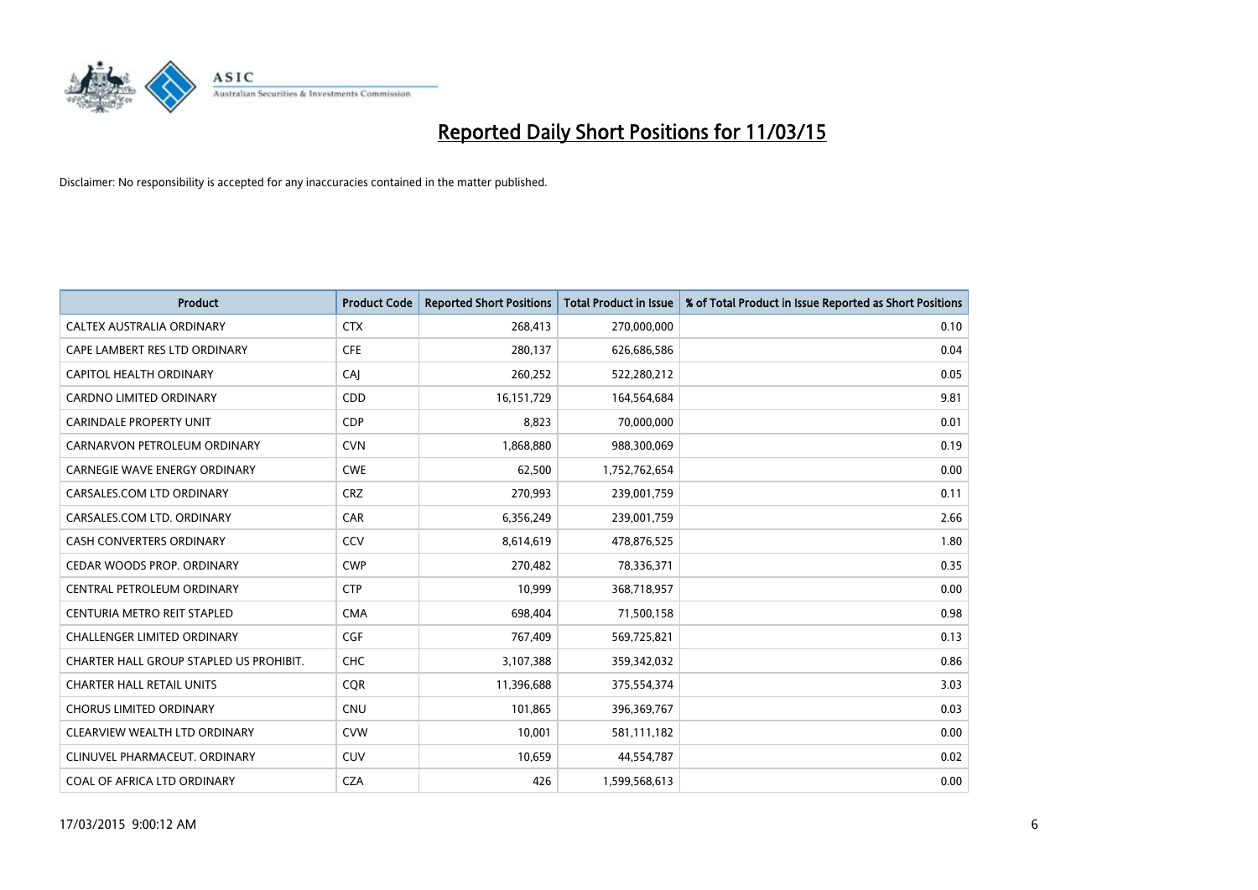

| <b>Product</b>                          | <b>Product Code</b> | <b>Reported Short Positions</b> | <b>Total Product in Issue</b> | % of Total Product in Issue Reported as Short Positions |
|-----------------------------------------|---------------------|---------------------------------|-------------------------------|---------------------------------------------------------|
| CALTEX AUSTRALIA ORDINARY               | <b>CTX</b>          | 268,413                         | 270,000,000                   | 0.10                                                    |
| CAPE LAMBERT RES LTD ORDINARY           | <b>CFE</b>          | 280,137                         | 626,686,586                   | 0.04                                                    |
| CAPITOL HEALTH ORDINARY                 | CAJ                 | 260,252                         | 522,280,212                   | 0.05                                                    |
| <b>CARDNO LIMITED ORDINARY</b>          | CDD                 | 16, 151, 729                    | 164,564,684                   | 9.81                                                    |
| <b>CARINDALE PROPERTY UNIT</b>          | <b>CDP</b>          | 8,823                           | 70,000,000                    | 0.01                                                    |
| CARNARVON PETROLEUM ORDINARY            | <b>CVN</b>          | 1,868,880                       | 988,300,069                   | 0.19                                                    |
| <b>CARNEGIE WAVE ENERGY ORDINARY</b>    | <b>CWE</b>          | 62,500                          | 1,752,762,654                 | 0.00                                                    |
| CARSALES.COM LTD ORDINARY               | <b>CRZ</b>          | 270,993                         | 239,001,759                   | 0.11                                                    |
| CARSALES.COM LTD. ORDINARY              | CAR                 | 6,356,249                       | 239,001,759                   | 2.66                                                    |
| <b>CASH CONVERTERS ORDINARY</b>         | CCV                 | 8,614,619                       | 478,876,525                   | 1.80                                                    |
| CEDAR WOODS PROP. ORDINARY              | <b>CWP</b>          | 270,482                         | 78,336,371                    | 0.35                                                    |
| CENTRAL PETROLEUM ORDINARY              | <b>CTP</b>          | 10,999                          | 368,718,957                   | 0.00                                                    |
| CENTURIA METRO REIT STAPLED             | <b>CMA</b>          | 698,404                         | 71,500,158                    | 0.98                                                    |
| <b>CHALLENGER LIMITED ORDINARY</b>      | <b>CGF</b>          | 767,409                         | 569,725,821                   | 0.13                                                    |
| CHARTER HALL GROUP STAPLED US PROHIBIT. | CHC                 | 3,107,388                       | 359,342,032                   | 0.86                                                    |
| <b>CHARTER HALL RETAIL UNITS</b>        | <b>COR</b>          | 11,396,688                      | 375,554,374                   | 3.03                                                    |
| <b>CHORUS LIMITED ORDINARY</b>          | <b>CNU</b>          | 101,865                         | 396,369,767                   | 0.03                                                    |
| CLEARVIEW WEALTH LTD ORDINARY           | <b>CVW</b>          | 10,001                          | 581,111,182                   | 0.00                                                    |
| CLINUVEL PHARMACEUT, ORDINARY           | <b>CUV</b>          | 10,659                          | 44,554,787                    | 0.02                                                    |
| COAL OF AFRICA LTD ORDINARY             | <b>CZA</b>          | 426                             | 1,599,568,613                 | 0.00                                                    |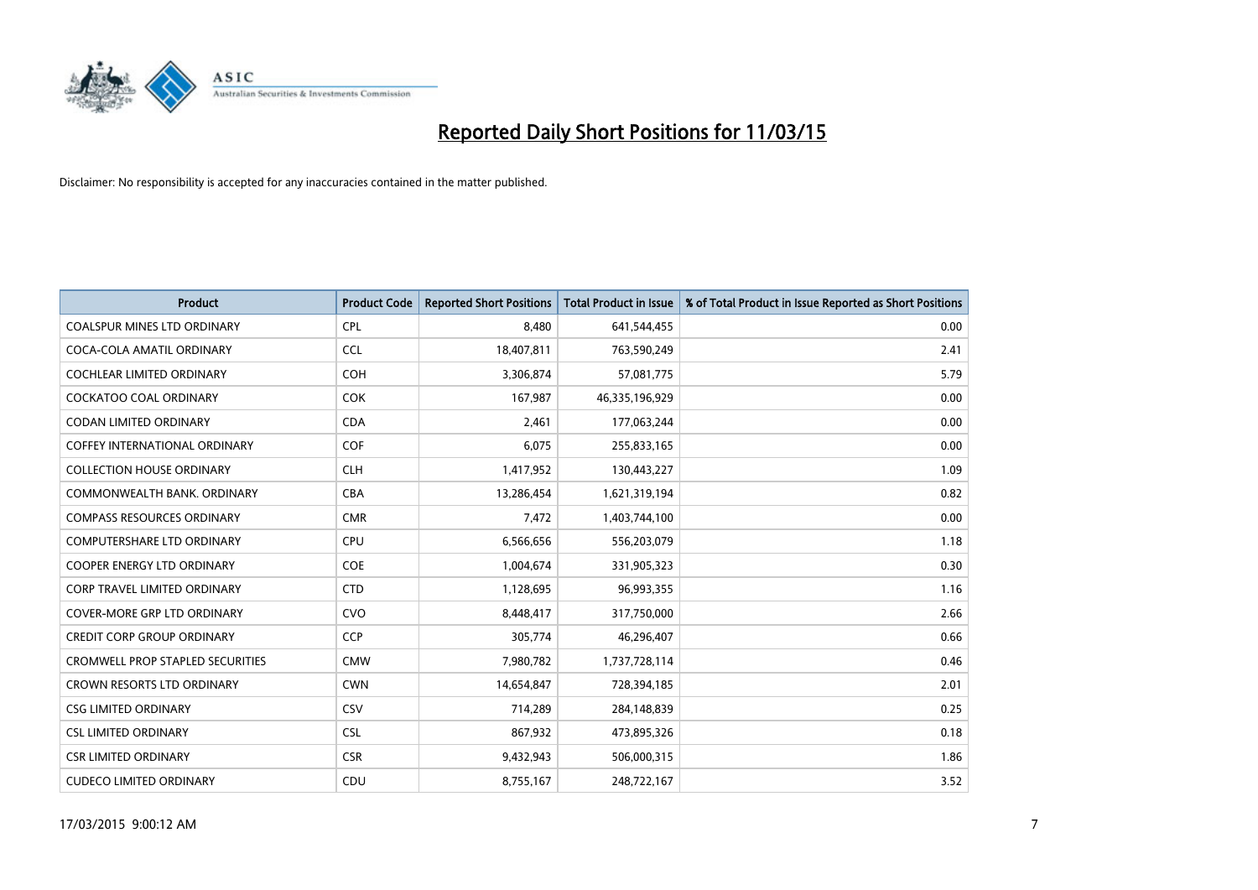

| <b>Product</b>                          | <b>Product Code</b> | <b>Reported Short Positions</b> | <b>Total Product in Issue</b> | % of Total Product in Issue Reported as Short Positions |
|-----------------------------------------|---------------------|---------------------------------|-------------------------------|---------------------------------------------------------|
| <b>COALSPUR MINES LTD ORDINARY</b>      | <b>CPL</b>          | 8,480                           | 641,544,455                   | 0.00                                                    |
| COCA-COLA AMATIL ORDINARY               | <b>CCL</b>          | 18,407,811                      | 763,590,249                   | 2.41                                                    |
| <b>COCHLEAR LIMITED ORDINARY</b>        | <b>COH</b>          | 3,306,874                       | 57,081,775                    | 5.79                                                    |
| COCKATOO COAL ORDINARY                  | <b>COK</b>          | 167,987                         | 46,335,196,929                | 0.00                                                    |
| <b>CODAN LIMITED ORDINARY</b>           | <b>CDA</b>          | 2,461                           | 177,063,244                   | 0.00                                                    |
| <b>COFFEY INTERNATIONAL ORDINARY</b>    | COF                 | 6,075                           | 255,833,165                   | 0.00                                                    |
| <b>COLLECTION HOUSE ORDINARY</b>        | <b>CLH</b>          | 1,417,952                       | 130,443,227                   | 1.09                                                    |
| COMMONWEALTH BANK, ORDINARY             | <b>CBA</b>          | 13,286,454                      | 1,621,319,194                 | 0.82                                                    |
| <b>COMPASS RESOURCES ORDINARY</b>       | <b>CMR</b>          | 7,472                           | 1,403,744,100                 | 0.00                                                    |
| <b>COMPUTERSHARE LTD ORDINARY</b>       | <b>CPU</b>          | 6,566,656                       | 556,203,079                   | 1.18                                                    |
| COOPER ENERGY LTD ORDINARY              | <b>COE</b>          | 1,004,674                       | 331,905,323                   | 0.30                                                    |
| <b>CORP TRAVEL LIMITED ORDINARY</b>     | <b>CTD</b>          | 1,128,695                       | 96,993,355                    | 1.16                                                    |
| <b>COVER-MORE GRP LTD ORDINARY</b>      | <b>CVO</b>          | 8,448,417                       | 317,750,000                   | 2.66                                                    |
| <b>CREDIT CORP GROUP ORDINARY</b>       | <b>CCP</b>          | 305,774                         | 46,296,407                    | 0.66                                                    |
| <b>CROMWELL PROP STAPLED SECURITIES</b> | <b>CMW</b>          | 7,980,782                       | 1,737,728,114                 | 0.46                                                    |
| CROWN RESORTS LTD ORDINARY              | <b>CWN</b>          | 14,654,847                      | 728,394,185                   | 2.01                                                    |
| <b>CSG LIMITED ORDINARY</b>             | CSV                 | 714,289                         | 284,148,839                   | 0.25                                                    |
| <b>CSL LIMITED ORDINARY</b>             | <b>CSL</b>          | 867,932                         | 473,895,326                   | 0.18                                                    |
| <b>CSR LIMITED ORDINARY</b>             | <b>CSR</b>          | 9,432,943                       | 506,000,315                   | 1.86                                                    |
| <b>CUDECO LIMITED ORDINARY</b>          | CDU                 | 8,755,167                       | 248,722,167                   | 3.52                                                    |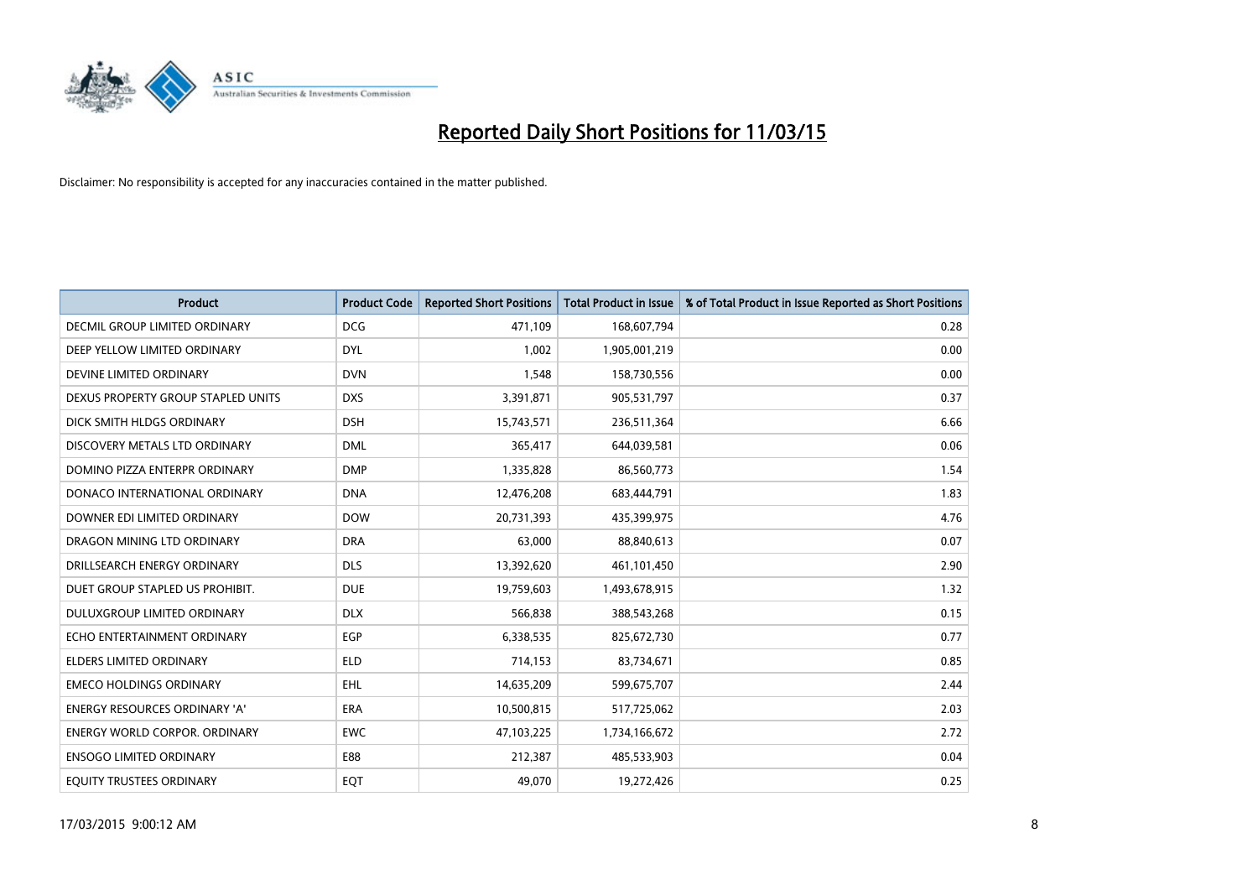

| <b>Product</b>                       | <b>Product Code</b> | <b>Reported Short Positions</b> | <b>Total Product in Issue</b> | % of Total Product in Issue Reported as Short Positions |
|--------------------------------------|---------------------|---------------------------------|-------------------------------|---------------------------------------------------------|
| <b>DECMIL GROUP LIMITED ORDINARY</b> | <b>DCG</b>          | 471,109                         | 168,607,794                   | 0.28                                                    |
| DEEP YELLOW LIMITED ORDINARY         | <b>DYL</b>          | 1,002                           | 1,905,001,219                 | 0.00                                                    |
| DEVINE LIMITED ORDINARY              | <b>DVN</b>          | 1,548                           | 158,730,556                   | 0.00                                                    |
| DEXUS PROPERTY GROUP STAPLED UNITS   | <b>DXS</b>          | 3,391,871                       | 905,531,797                   | 0.37                                                    |
| DICK SMITH HLDGS ORDINARY            | <b>DSH</b>          | 15,743,571                      | 236,511,364                   | 6.66                                                    |
| DISCOVERY METALS LTD ORDINARY        | <b>DML</b>          | 365,417                         | 644,039,581                   | 0.06                                                    |
| DOMINO PIZZA ENTERPR ORDINARY        | <b>DMP</b>          | 1,335,828                       | 86,560,773                    | 1.54                                                    |
| DONACO INTERNATIONAL ORDINARY        | <b>DNA</b>          | 12,476,208                      | 683,444,791                   | 1.83                                                    |
| DOWNER EDI LIMITED ORDINARY          | <b>DOW</b>          | 20,731,393                      | 435,399,975                   | 4.76                                                    |
| DRAGON MINING LTD ORDINARY           | <b>DRA</b>          | 63,000                          | 88,840,613                    | 0.07                                                    |
| DRILLSEARCH ENERGY ORDINARY          | <b>DLS</b>          | 13,392,620                      | 461,101,450                   | 2.90                                                    |
| DUET GROUP STAPLED US PROHIBIT.      | <b>DUE</b>          | 19,759,603                      | 1,493,678,915                 | 1.32                                                    |
| DULUXGROUP LIMITED ORDINARY          | <b>DLX</b>          | 566,838                         | 388,543,268                   | 0.15                                                    |
| ECHO ENTERTAINMENT ORDINARY          | EGP                 | 6,338,535                       | 825,672,730                   | 0.77                                                    |
| <b>ELDERS LIMITED ORDINARY</b>       | <b>ELD</b>          | 714,153                         | 83,734,671                    | 0.85                                                    |
| <b>EMECO HOLDINGS ORDINARY</b>       | <b>EHL</b>          | 14,635,209                      | 599,675,707                   | 2.44                                                    |
| <b>ENERGY RESOURCES ORDINARY 'A'</b> | ERA                 | 10,500,815                      | 517,725,062                   | 2.03                                                    |
| <b>ENERGY WORLD CORPOR. ORDINARY</b> | <b>EWC</b>          | 47,103,225                      | 1,734,166,672                 | 2.72                                                    |
| <b>ENSOGO LIMITED ORDINARY</b>       | E88                 | 212,387                         | 485,533,903                   | 0.04                                                    |
| EQUITY TRUSTEES ORDINARY             | EQT                 | 49,070                          | 19,272,426                    | 0.25                                                    |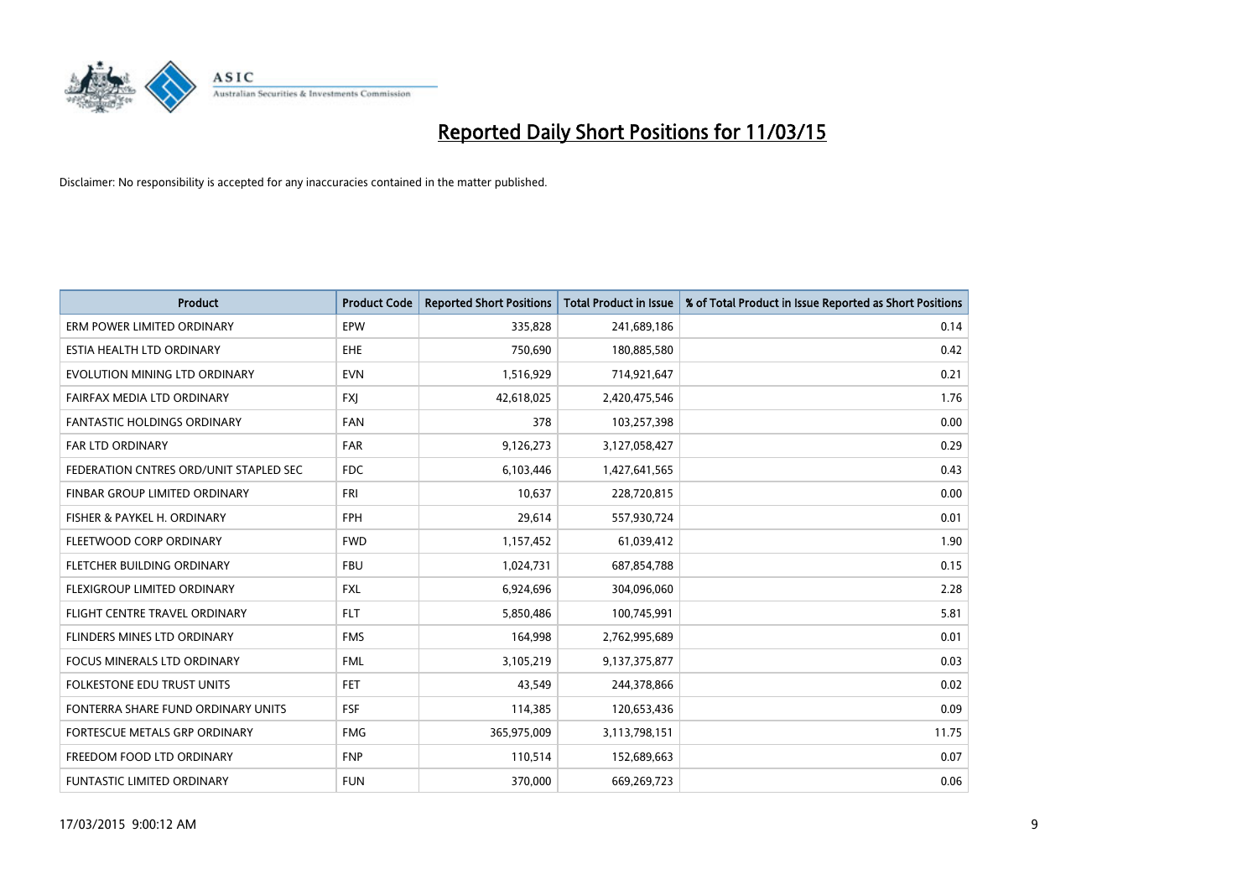

| <b>Product</b>                         | <b>Product Code</b> | <b>Reported Short Positions</b> | <b>Total Product in Issue</b> | % of Total Product in Issue Reported as Short Positions |
|----------------------------------------|---------------------|---------------------------------|-------------------------------|---------------------------------------------------------|
| ERM POWER LIMITED ORDINARY             | EPW                 | 335,828                         | 241,689,186                   | 0.14                                                    |
| ESTIA HEALTH LTD ORDINARY              | <b>EHE</b>          | 750,690                         | 180,885,580                   | 0.42                                                    |
| EVOLUTION MINING LTD ORDINARY          | <b>EVN</b>          | 1,516,929                       | 714,921,647                   | 0.21                                                    |
| FAIRFAX MEDIA LTD ORDINARY             | <b>FXI</b>          | 42,618,025                      | 2,420,475,546                 | 1.76                                                    |
| <b>FANTASTIC HOLDINGS ORDINARY</b>     | <b>FAN</b>          | 378                             | 103,257,398                   | 0.00                                                    |
| <b>FAR LTD ORDINARY</b>                | <b>FAR</b>          | 9,126,273                       | 3,127,058,427                 | 0.29                                                    |
| FEDERATION CNTRES ORD/UNIT STAPLED SEC | FDC                 | 6,103,446                       | 1,427,641,565                 | 0.43                                                    |
| FINBAR GROUP LIMITED ORDINARY          | FRI                 | 10,637                          | 228,720,815                   | 0.00                                                    |
| FISHER & PAYKEL H. ORDINARY            | <b>FPH</b>          | 29,614                          | 557,930,724                   | 0.01                                                    |
| FLEETWOOD CORP ORDINARY                | <b>FWD</b>          | 1,157,452                       | 61,039,412                    | 1.90                                                    |
| FLETCHER BUILDING ORDINARY             | <b>FBU</b>          | 1,024,731                       | 687,854,788                   | 0.15                                                    |
| FLEXIGROUP LIMITED ORDINARY            | <b>FXL</b>          | 6,924,696                       | 304,096,060                   | 2.28                                                    |
| FLIGHT CENTRE TRAVEL ORDINARY          | <b>FLT</b>          | 5,850,486                       | 100,745,991                   | 5.81                                                    |
| FLINDERS MINES LTD ORDINARY            | <b>FMS</b>          | 164,998                         | 2,762,995,689                 | 0.01                                                    |
| <b>FOCUS MINERALS LTD ORDINARY</b>     | <b>FML</b>          | 3,105,219                       | 9,137,375,877                 | 0.03                                                    |
| <b>FOLKESTONE EDU TRUST UNITS</b>      | <b>FET</b>          | 43,549                          | 244,378,866                   | 0.02                                                    |
| FONTERRA SHARE FUND ORDINARY UNITS     | <b>FSF</b>          | 114,385                         | 120,653,436                   | 0.09                                                    |
| FORTESCUE METALS GRP ORDINARY          | <b>FMG</b>          | 365,975,009                     | 3,113,798,151                 | 11.75                                                   |
| FREEDOM FOOD LTD ORDINARY              | <b>FNP</b>          | 110,514                         | 152,689,663                   | 0.07                                                    |
| <b>FUNTASTIC LIMITED ORDINARY</b>      | <b>FUN</b>          | 370,000                         | 669,269,723                   | 0.06                                                    |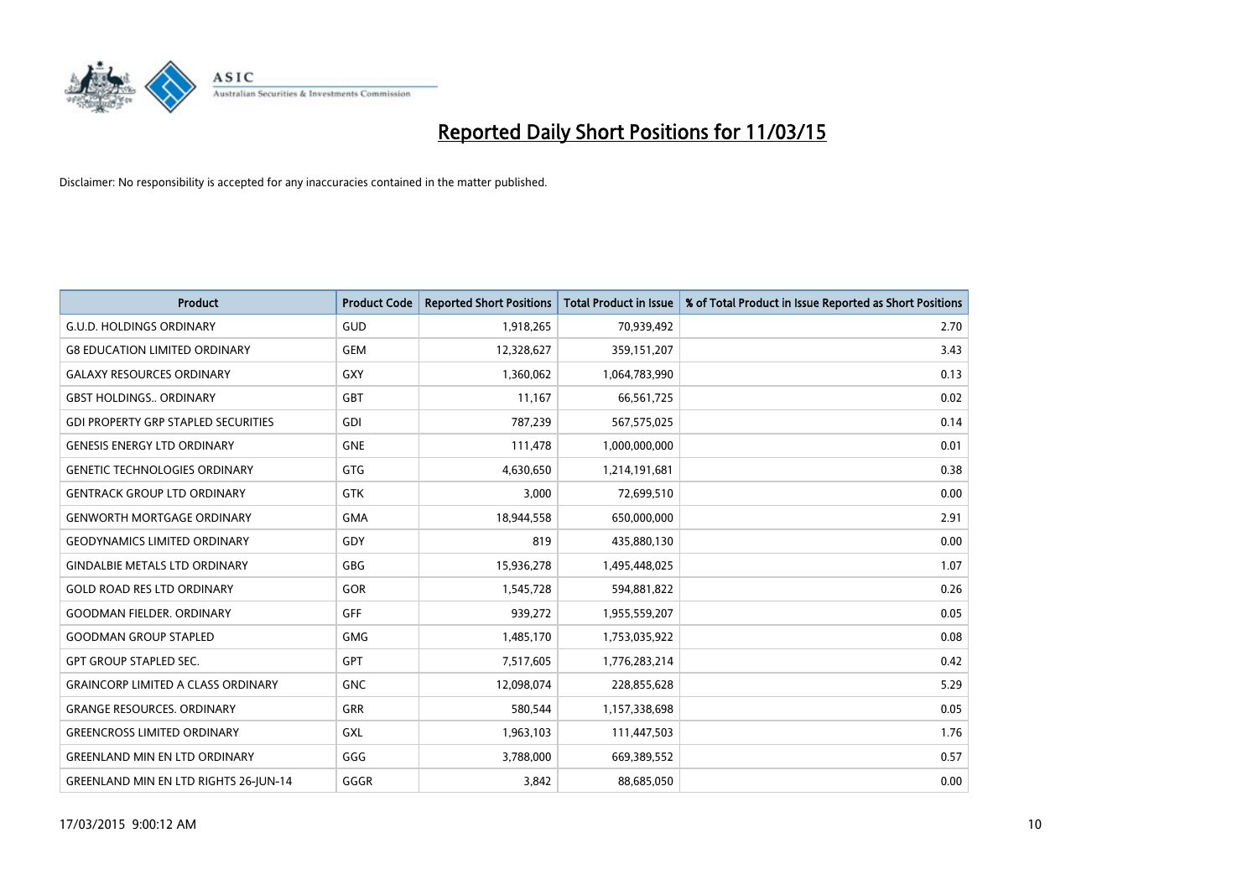

| <b>Product</b>                               | <b>Product Code</b> | <b>Reported Short Positions</b> | <b>Total Product in Issue</b> | % of Total Product in Issue Reported as Short Positions |
|----------------------------------------------|---------------------|---------------------------------|-------------------------------|---------------------------------------------------------|
| <b>G.U.D. HOLDINGS ORDINARY</b>              | GUD                 | 1,918,265                       | 70,939,492                    | 2.70                                                    |
| <b>G8 EDUCATION LIMITED ORDINARY</b>         | <b>GEM</b>          | 12,328,627                      | 359,151,207                   | 3.43                                                    |
| <b>GALAXY RESOURCES ORDINARY</b>             | GXY                 | 1,360,062                       | 1,064,783,990                 | 0.13                                                    |
| <b>GBST HOLDINGS ORDINARY</b>                | GBT                 | 11,167                          | 66,561,725                    | 0.02                                                    |
| <b>GDI PROPERTY GRP STAPLED SECURITIES</b>   | GDI                 | 787,239                         | 567,575,025                   | 0.14                                                    |
| <b>GENESIS ENERGY LTD ORDINARY</b>           | <b>GNE</b>          | 111,478                         | 1,000,000,000                 | 0.01                                                    |
| <b>GENETIC TECHNOLOGIES ORDINARY</b>         | <b>GTG</b>          | 4,630,650                       | 1,214,191,681                 | 0.38                                                    |
| <b>GENTRACK GROUP LTD ORDINARY</b>           | <b>GTK</b>          | 3,000                           | 72,699,510                    | 0.00                                                    |
| <b>GENWORTH MORTGAGE ORDINARY</b>            | <b>GMA</b>          | 18,944,558                      | 650,000,000                   | 2.91                                                    |
| <b>GEODYNAMICS LIMITED ORDINARY</b>          | GDY                 | 819                             | 435,880,130                   | 0.00                                                    |
| <b>GINDALBIE METALS LTD ORDINARY</b>         | GBG                 | 15,936,278                      | 1,495,448,025                 | 1.07                                                    |
| <b>GOLD ROAD RES LTD ORDINARY</b>            | GOR                 | 1,545,728                       | 594,881,822                   | 0.26                                                    |
| <b>GOODMAN FIELDER. ORDINARY</b>             | GFF                 | 939,272                         | 1,955,559,207                 | 0.05                                                    |
| <b>GOODMAN GROUP STAPLED</b>                 | <b>GMG</b>          | 1,485,170                       | 1,753,035,922                 | 0.08                                                    |
| <b>GPT GROUP STAPLED SEC.</b>                | <b>GPT</b>          | 7,517,605                       | 1,776,283,214                 | 0.42                                                    |
| <b>GRAINCORP LIMITED A CLASS ORDINARY</b>    | <b>GNC</b>          | 12,098,074                      | 228,855,628                   | 5.29                                                    |
| <b>GRANGE RESOURCES. ORDINARY</b>            | GRR                 | 580,544                         | 1,157,338,698                 | 0.05                                                    |
| <b>GREENCROSS LIMITED ORDINARY</b>           | <b>GXL</b>          | 1,963,103                       | 111,447,503                   | 1.76                                                    |
| <b>GREENLAND MIN EN LTD ORDINARY</b>         | GGG                 | 3,788,000                       | 669,389,552                   | 0.57                                                    |
| <b>GREENLAND MIN EN LTD RIGHTS 26-JUN-14</b> | GGGR                | 3,842                           | 88,685,050                    | 0.00                                                    |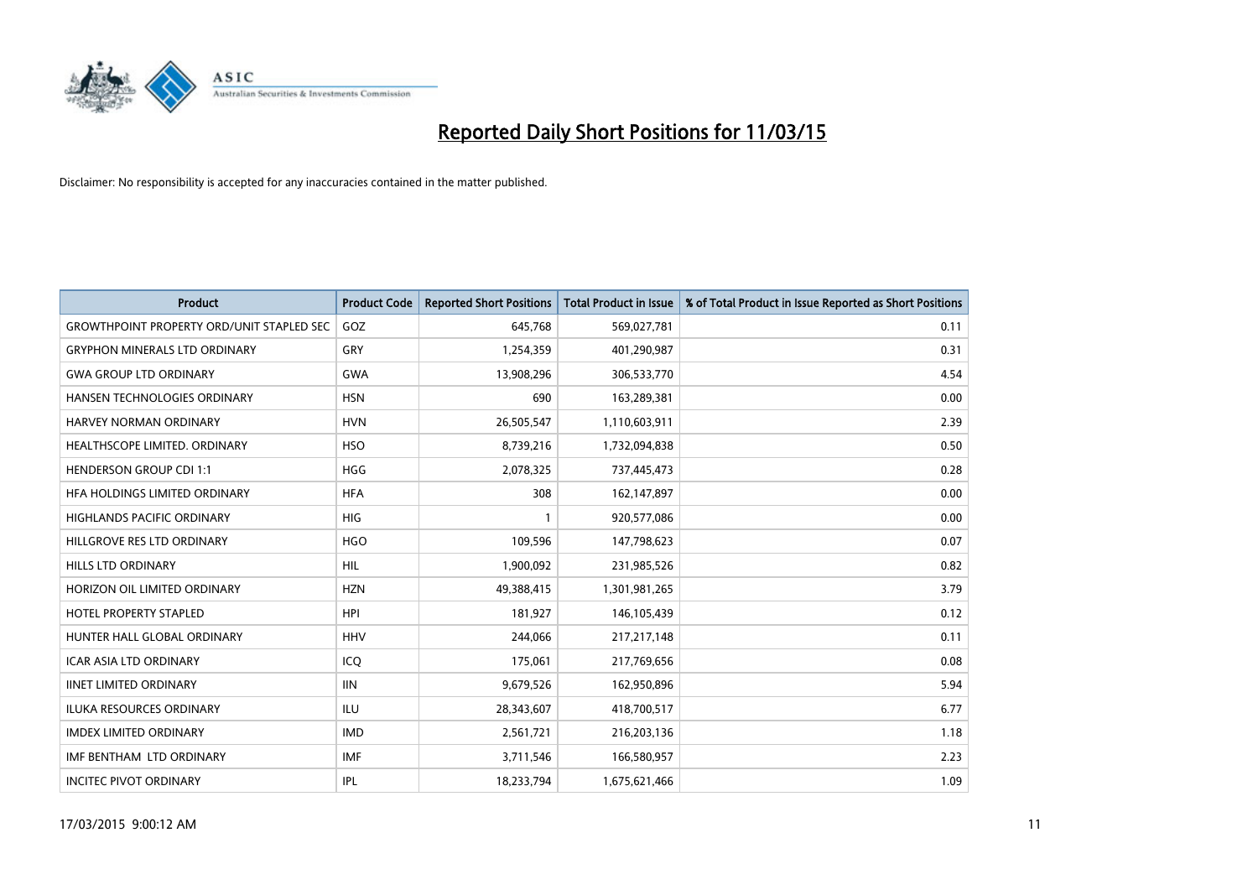

| <b>Product</b>                                   | <b>Product Code</b> | <b>Reported Short Positions</b> | <b>Total Product in Issue</b> | % of Total Product in Issue Reported as Short Positions |
|--------------------------------------------------|---------------------|---------------------------------|-------------------------------|---------------------------------------------------------|
| <b>GROWTHPOINT PROPERTY ORD/UNIT STAPLED SEC</b> | GOZ                 | 645,768                         | 569,027,781                   | 0.11                                                    |
| <b>GRYPHON MINERALS LTD ORDINARY</b>             | GRY                 | 1,254,359                       | 401,290,987                   | 0.31                                                    |
| <b>GWA GROUP LTD ORDINARY</b>                    | <b>GWA</b>          | 13,908,296                      | 306,533,770                   | 4.54                                                    |
| HANSEN TECHNOLOGIES ORDINARY                     | <b>HSN</b>          | 690                             | 163,289,381                   | 0.00                                                    |
| HARVEY NORMAN ORDINARY                           | <b>HVN</b>          | 26,505,547                      | 1,110,603,911                 | 2.39                                                    |
| HEALTHSCOPE LIMITED. ORDINARY                    | <b>HSO</b>          | 8,739,216                       | 1,732,094,838                 | 0.50                                                    |
| <b>HENDERSON GROUP CDI 1:1</b>                   | <b>HGG</b>          | 2,078,325                       | 737,445,473                   | 0.28                                                    |
| HFA HOLDINGS LIMITED ORDINARY                    | <b>HFA</b>          | 308                             | 162,147,897                   | 0.00                                                    |
| HIGHLANDS PACIFIC ORDINARY                       | <b>HIG</b>          | $\mathbf{1}$                    | 920,577,086                   | 0.00                                                    |
| HILLGROVE RES LTD ORDINARY                       | <b>HGO</b>          | 109,596                         | 147,798,623                   | 0.07                                                    |
| <b>HILLS LTD ORDINARY</b>                        | <b>HIL</b>          | 1,900,092                       | 231,985,526                   | 0.82                                                    |
| HORIZON OIL LIMITED ORDINARY                     | <b>HZN</b>          | 49,388,415                      | 1,301,981,265                 | 3.79                                                    |
| HOTEL PROPERTY STAPLED                           | <b>HPI</b>          | 181,927                         | 146, 105, 439                 | 0.12                                                    |
| HUNTER HALL GLOBAL ORDINARY                      | <b>HHV</b>          | 244,066                         | 217, 217, 148                 | 0.11                                                    |
| <b>ICAR ASIA LTD ORDINARY</b>                    | ICO                 | 175,061                         | 217,769,656                   | 0.08                                                    |
| <b>IINET LIMITED ORDINARY</b>                    | <b>IIN</b>          | 9,679,526                       | 162,950,896                   | 5.94                                                    |
| <b>ILUKA RESOURCES ORDINARY</b>                  | ILU                 | 28,343,607                      | 418,700,517                   | 6.77                                                    |
| <b>IMDEX LIMITED ORDINARY</b>                    | <b>IMD</b>          | 2,561,721                       | 216,203,136                   | 1.18                                                    |
| IMF BENTHAM LTD ORDINARY                         | <b>IMF</b>          | 3,711,546                       | 166,580,957                   | 2.23                                                    |
| <b>INCITEC PIVOT ORDINARY</b>                    | IPL                 | 18,233,794                      | 1,675,621,466                 | 1.09                                                    |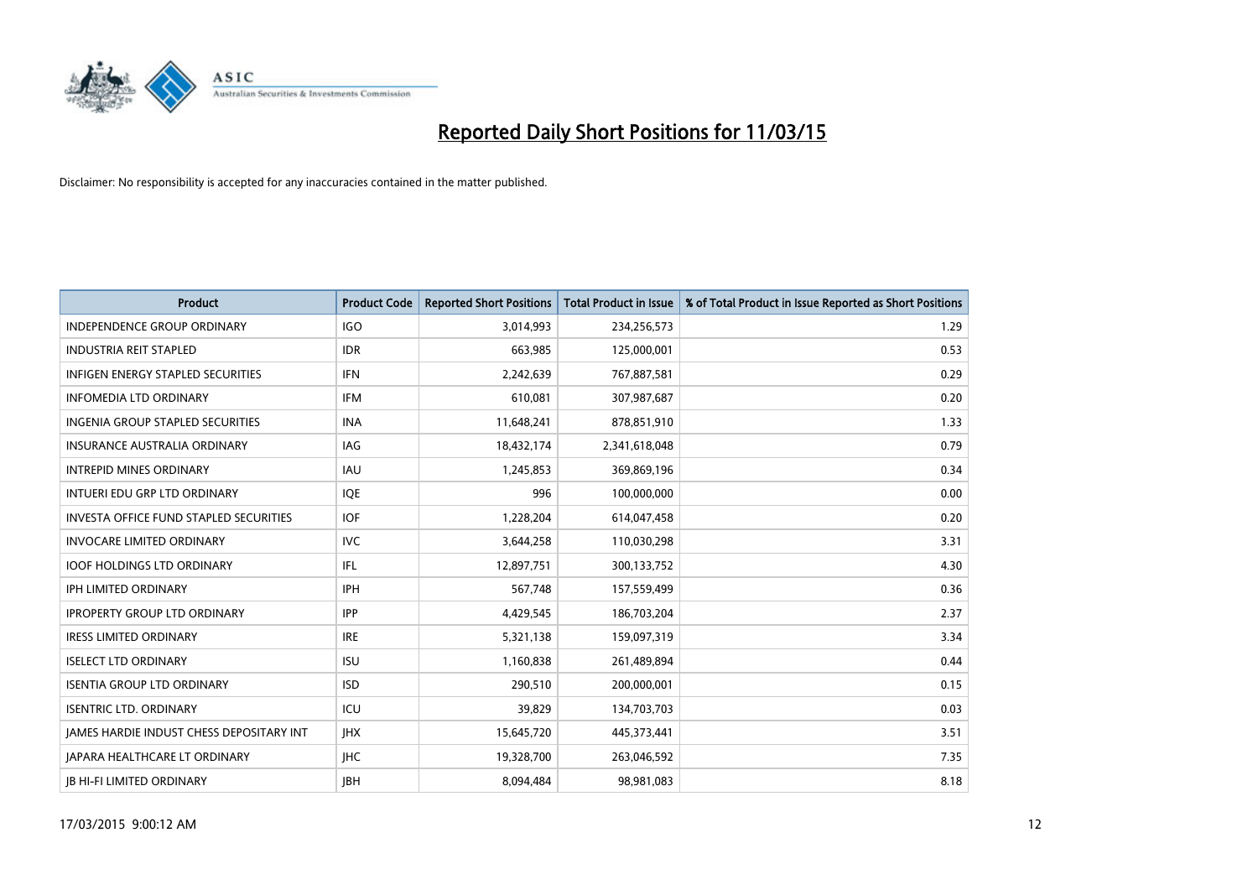

| <b>Product</b>                           | <b>Product Code</b> | <b>Reported Short Positions</b> | <b>Total Product in Issue</b> | % of Total Product in Issue Reported as Short Positions |
|------------------------------------------|---------------------|---------------------------------|-------------------------------|---------------------------------------------------------|
| <b>INDEPENDENCE GROUP ORDINARY</b>       | <b>IGO</b>          | 3,014,993                       | 234,256,573                   | 1.29                                                    |
| <b>INDUSTRIA REIT STAPLED</b>            | <b>IDR</b>          | 663,985                         | 125,000,001                   | 0.53                                                    |
| <b>INFIGEN ENERGY STAPLED SECURITIES</b> | <b>IFN</b>          | 2,242,639                       | 767,887,581                   | 0.29                                                    |
| INFOMEDIA LTD ORDINARY                   | IFM                 | 610,081                         | 307,987,687                   | 0.20                                                    |
| <b>INGENIA GROUP STAPLED SECURITIES</b>  | <b>INA</b>          | 11,648,241                      | 878,851,910                   | 1.33                                                    |
| INSURANCE AUSTRALIA ORDINARY             | <b>IAG</b>          | 18,432,174                      | 2,341,618,048                 | 0.79                                                    |
| <b>INTREPID MINES ORDINARY</b>           | IAU                 | 1,245,853                       | 369,869,196                   | 0.34                                                    |
| INTUERI EDU GRP LTD ORDINARY             | IQE                 | 996                             | 100,000,000                   | 0.00                                                    |
| INVESTA OFFICE FUND STAPLED SECURITIES   | <b>IOF</b>          | 1,228,204                       | 614,047,458                   | 0.20                                                    |
| <b>INVOCARE LIMITED ORDINARY</b>         | <b>IVC</b>          | 3,644,258                       | 110,030,298                   | 3.31                                                    |
| <b>IOOF HOLDINGS LTD ORDINARY</b>        | IFL                 | 12,897,751                      | 300,133,752                   | 4.30                                                    |
| <b>IPH LIMITED ORDINARY</b>              | <b>IPH</b>          | 567,748                         | 157,559,499                   | 0.36                                                    |
| <b>IPROPERTY GROUP LTD ORDINARY</b>      | <b>IPP</b>          | 4,429,545                       | 186,703,204                   | 2.37                                                    |
| <b>IRESS LIMITED ORDINARY</b>            | <b>IRE</b>          | 5,321,138                       | 159,097,319                   | 3.34                                                    |
| <b>ISELECT LTD ORDINARY</b>              | <b>ISU</b>          | 1,160,838                       | 261,489,894                   | 0.44                                                    |
| <b>ISENTIA GROUP LTD ORDINARY</b>        | <b>ISD</b>          | 290,510                         | 200,000,001                   | 0.15                                                    |
| <b>ISENTRIC LTD. ORDINARY</b>            | ICU                 | 39,829                          | 134,703,703                   | 0.03                                                    |
| JAMES HARDIE INDUST CHESS DEPOSITARY INT | <b>IHX</b>          | 15,645,720                      | 445,373,441                   | 3.51                                                    |
| <b>IAPARA HEALTHCARE LT ORDINARY</b>     | <b>IHC</b>          | 19,328,700                      | 263,046,592                   | 7.35                                                    |
| <b>IB HI-FI LIMITED ORDINARY</b>         | <b>IBH</b>          | 8.094.484                       | 98,981,083                    | 8.18                                                    |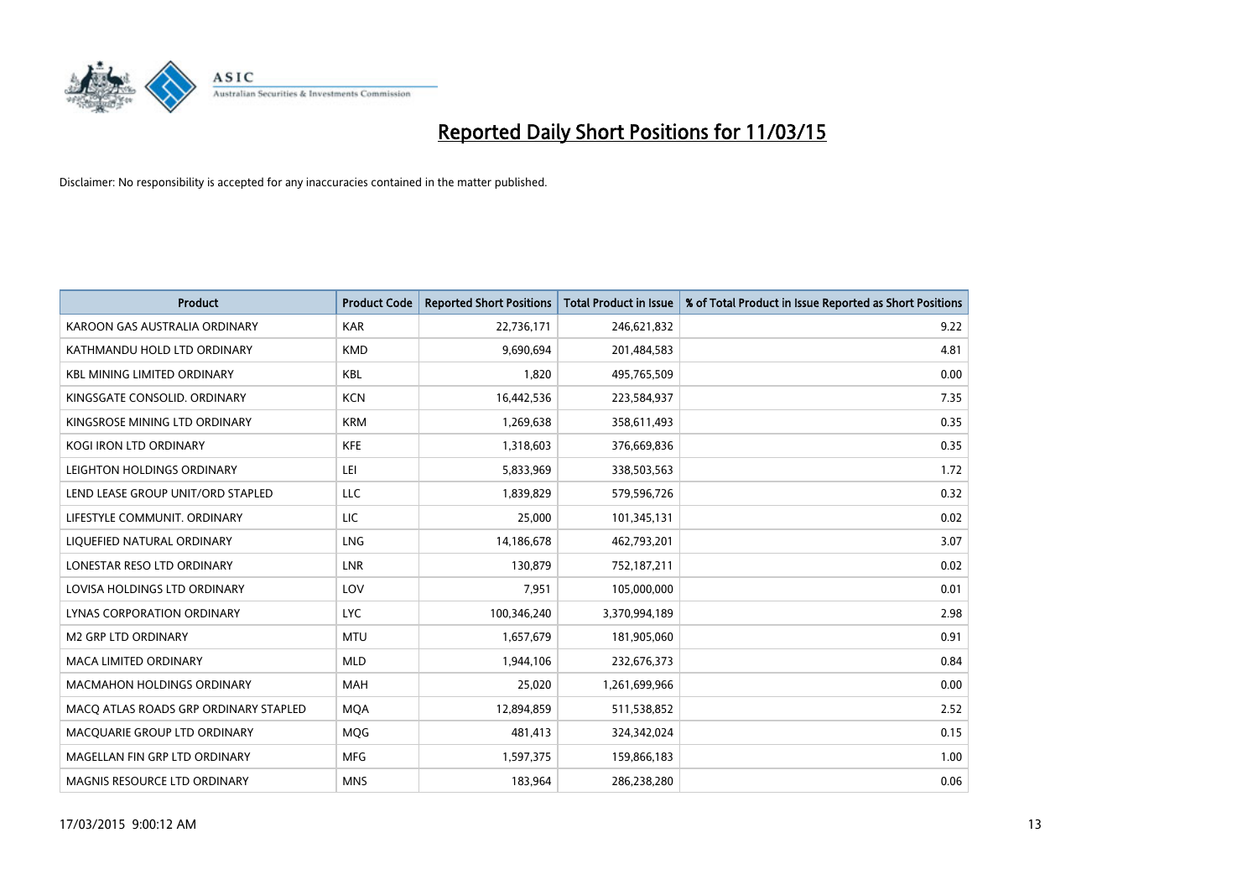

| <b>Product</b>                        | <b>Product Code</b> | <b>Reported Short Positions</b> | <b>Total Product in Issue</b> | % of Total Product in Issue Reported as Short Positions |
|---------------------------------------|---------------------|---------------------------------|-------------------------------|---------------------------------------------------------|
| KAROON GAS AUSTRALIA ORDINARY         | <b>KAR</b>          | 22,736,171                      | 246,621,832                   | 9.22                                                    |
| KATHMANDU HOLD LTD ORDINARY           | <b>KMD</b>          | 9,690,694                       | 201,484,583                   | 4.81                                                    |
| <b>KBL MINING LIMITED ORDINARY</b>    | <b>KBL</b>          | 1,820                           | 495,765,509                   | 0.00                                                    |
| KINGSGATE CONSOLID. ORDINARY          | <b>KCN</b>          | 16,442,536                      | 223,584,937                   | 7.35                                                    |
| KINGSROSE MINING LTD ORDINARY         | <b>KRM</b>          | 1,269,638                       | 358,611,493                   | 0.35                                                    |
| <b>KOGI IRON LTD ORDINARY</b>         | <b>KFE</b>          | 1,318,603                       | 376,669,836                   | 0.35                                                    |
| LEIGHTON HOLDINGS ORDINARY            | LEI                 | 5,833,969                       | 338,503,563                   | 1.72                                                    |
| LEND LEASE GROUP UNIT/ORD STAPLED     | <b>LLC</b>          | 1,839,829                       | 579,596,726                   | 0.32                                                    |
| LIFESTYLE COMMUNIT. ORDINARY          | <b>LIC</b>          | 25,000                          | 101,345,131                   | 0.02                                                    |
| LIOUEFIED NATURAL ORDINARY            | LNG                 | 14,186,678                      | 462,793,201                   | 3.07                                                    |
| LONESTAR RESO LTD ORDINARY            | <b>LNR</b>          | 130,879                         | 752,187,211                   | 0.02                                                    |
| LOVISA HOLDINGS LTD ORDINARY          | LOV                 | 7,951                           | 105,000,000                   | 0.01                                                    |
| LYNAS CORPORATION ORDINARY            | <b>LYC</b>          | 100,346,240                     | 3,370,994,189                 | 2.98                                                    |
| <b>M2 GRP LTD ORDINARY</b>            | <b>MTU</b>          | 1,657,679                       | 181,905,060                   | 0.91                                                    |
| <b>MACA LIMITED ORDINARY</b>          | <b>MLD</b>          | 1,944,106                       | 232,676,373                   | 0.84                                                    |
| <b>MACMAHON HOLDINGS ORDINARY</b>     | <b>MAH</b>          | 25,020                          | 1,261,699,966                 | 0.00                                                    |
| MACO ATLAS ROADS GRP ORDINARY STAPLED | <b>MOA</b>          | 12,894,859                      | 511,538,852                   | 2.52                                                    |
| MACQUARIE GROUP LTD ORDINARY          | <b>MOG</b>          | 481,413                         | 324,342,024                   | 0.15                                                    |
| MAGELLAN FIN GRP LTD ORDINARY         | <b>MFG</b>          | 1,597,375                       | 159,866,183                   | 1.00                                                    |
| MAGNIS RESOURCE LTD ORDINARY          | <b>MNS</b>          | 183,964                         | 286,238,280                   | 0.06                                                    |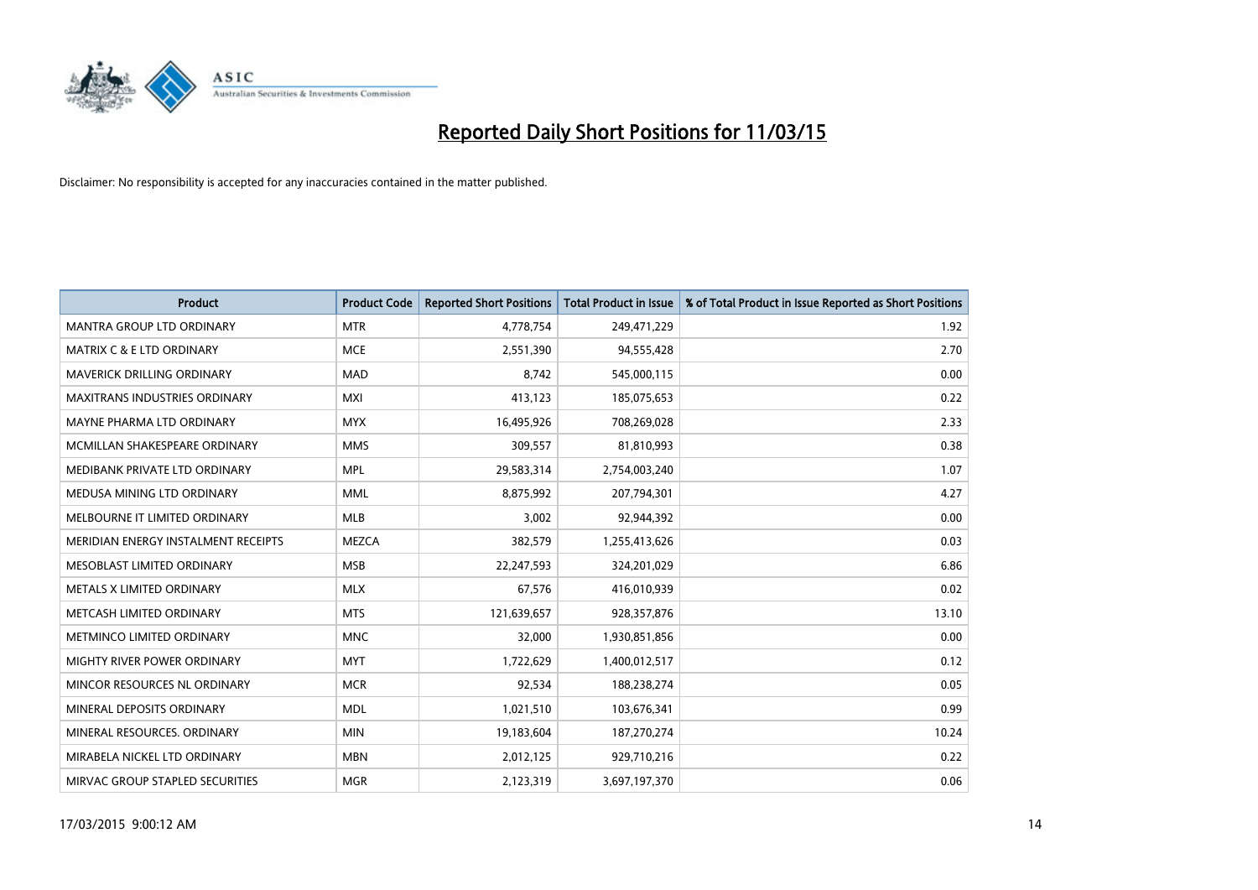

| <b>Product</b>                       | <b>Product Code</b> | <b>Reported Short Positions</b> | <b>Total Product in Issue</b> | % of Total Product in Issue Reported as Short Positions |
|--------------------------------------|---------------------|---------------------------------|-------------------------------|---------------------------------------------------------|
| <b>MANTRA GROUP LTD ORDINARY</b>     | <b>MTR</b>          | 4,778,754                       | 249,471,229                   | 1.92                                                    |
| <b>MATRIX C &amp; E LTD ORDINARY</b> | <b>MCE</b>          | 2,551,390                       | 94,555,428                    | 2.70                                                    |
| MAVERICK DRILLING ORDINARY           | <b>MAD</b>          | 8,742                           | 545,000,115                   | 0.00                                                    |
| <b>MAXITRANS INDUSTRIES ORDINARY</b> | <b>MXI</b>          | 413,123                         | 185,075,653                   | 0.22                                                    |
| MAYNE PHARMA LTD ORDINARY            | <b>MYX</b>          | 16,495,926                      | 708,269,028                   | 2.33                                                    |
| MCMILLAN SHAKESPEARE ORDINARY        | <b>MMS</b>          | 309,557                         | 81,810,993                    | 0.38                                                    |
| MEDIBANK PRIVATE LTD ORDINARY        | <b>MPL</b>          | 29,583,314                      | 2,754,003,240                 | 1.07                                                    |
| MEDUSA MINING LTD ORDINARY           | <b>MML</b>          | 8,875,992                       | 207,794,301                   | 4.27                                                    |
| MELBOURNE IT LIMITED ORDINARY        | <b>MLB</b>          | 3,002                           | 92,944,392                    | 0.00                                                    |
| MERIDIAN ENERGY INSTALMENT RECEIPTS  | <b>MEZCA</b>        | 382,579                         | 1,255,413,626                 | 0.03                                                    |
| MESOBLAST LIMITED ORDINARY           | <b>MSB</b>          | 22,247,593                      | 324,201,029                   | 6.86                                                    |
| METALS X LIMITED ORDINARY            | <b>MLX</b>          | 67,576                          | 416,010,939                   | 0.02                                                    |
| METCASH LIMITED ORDINARY             | <b>MTS</b>          | 121,639,657                     | 928,357,876                   | 13.10                                                   |
| METMINCO LIMITED ORDINARY            | <b>MNC</b>          | 32,000                          | 1,930,851,856                 | 0.00                                                    |
| MIGHTY RIVER POWER ORDINARY          | <b>MYT</b>          | 1,722,629                       | 1,400,012,517                 | 0.12                                                    |
| MINCOR RESOURCES NL ORDINARY         | <b>MCR</b>          | 92,534                          | 188,238,274                   | 0.05                                                    |
| MINERAL DEPOSITS ORDINARY            | <b>MDL</b>          | 1,021,510                       | 103,676,341                   | 0.99                                                    |
| MINERAL RESOURCES, ORDINARY          | <b>MIN</b>          | 19,183,604                      | 187,270,274                   | 10.24                                                   |
| MIRABELA NICKEL LTD ORDINARY         | <b>MBN</b>          | 2,012,125                       | 929,710,216                   | 0.22                                                    |
| MIRVAC GROUP STAPLED SECURITIES      | <b>MGR</b>          | 2,123,319                       | 3,697,197,370                 | 0.06                                                    |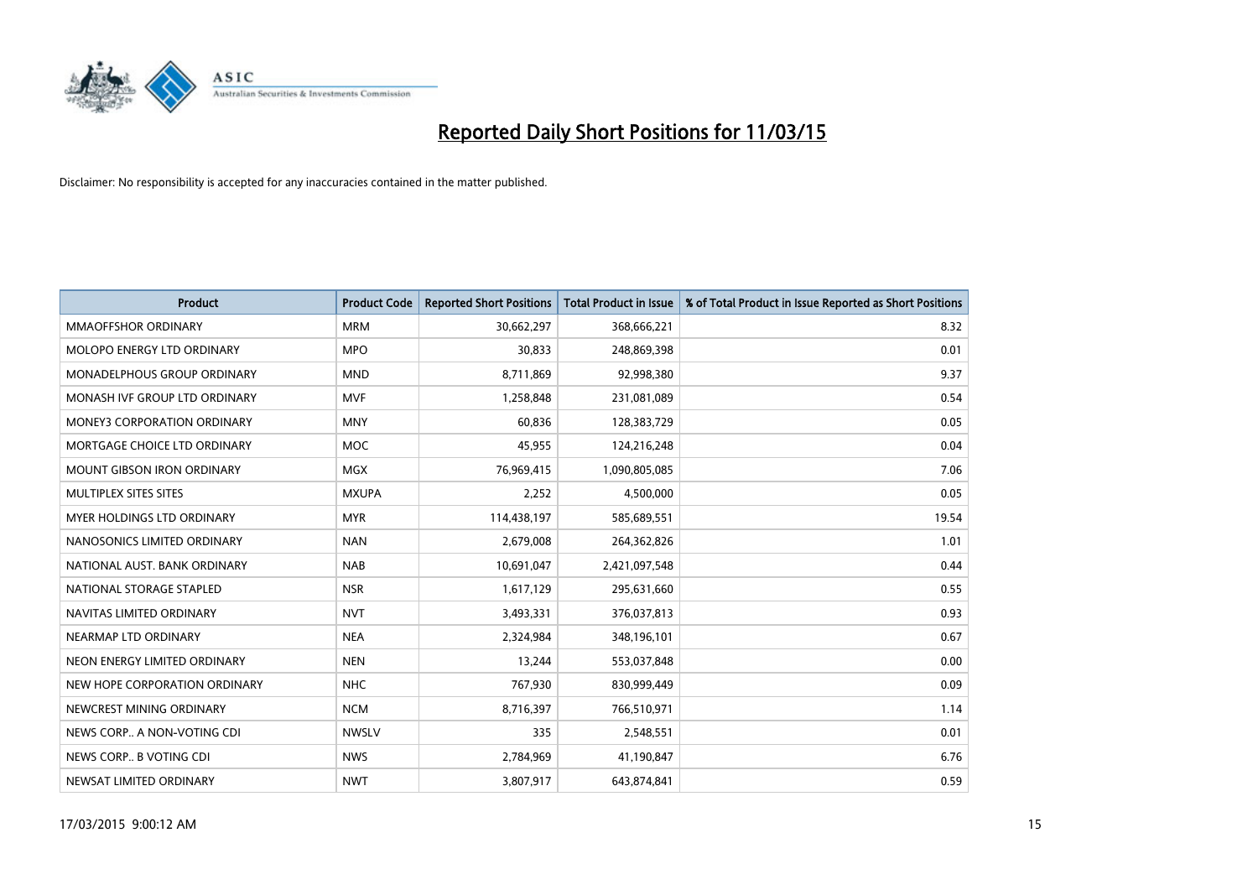

| <b>Product</b>                     | <b>Product Code</b> | <b>Reported Short Positions</b> | <b>Total Product in Issue</b> | % of Total Product in Issue Reported as Short Positions |
|------------------------------------|---------------------|---------------------------------|-------------------------------|---------------------------------------------------------|
| <b>MMAOFFSHOR ORDINARY</b>         | <b>MRM</b>          | 30,662,297                      | 368,666,221                   | 8.32                                                    |
| MOLOPO ENERGY LTD ORDINARY         | <b>MPO</b>          | 30,833                          | 248,869,398                   | 0.01                                                    |
| <b>MONADELPHOUS GROUP ORDINARY</b> | <b>MND</b>          | 8,711,869                       | 92,998,380                    | 9.37                                                    |
| MONASH IVF GROUP LTD ORDINARY      | <b>MVF</b>          | 1,258,848                       | 231,081,089                   | 0.54                                                    |
| <b>MONEY3 CORPORATION ORDINARY</b> | <b>MNY</b>          | 60,836                          | 128,383,729                   | 0.05                                                    |
| MORTGAGE CHOICE LTD ORDINARY       | <b>MOC</b>          | 45,955                          | 124,216,248                   | 0.04                                                    |
| <b>MOUNT GIBSON IRON ORDINARY</b>  | <b>MGX</b>          | 76,969,415                      | 1,090,805,085                 | 7.06                                                    |
| MULTIPLEX SITES SITES              | <b>MXUPA</b>        | 2,252                           | 4,500,000                     | 0.05                                                    |
| MYER HOLDINGS LTD ORDINARY         | <b>MYR</b>          | 114,438,197                     | 585,689,551                   | 19.54                                                   |
| NANOSONICS LIMITED ORDINARY        | <b>NAN</b>          | 2,679,008                       | 264,362,826                   | 1.01                                                    |
| NATIONAL AUST, BANK ORDINARY       | <b>NAB</b>          | 10,691,047                      | 2,421,097,548                 | 0.44                                                    |
| NATIONAL STORAGE STAPLED           | <b>NSR</b>          | 1,617,129                       | 295,631,660                   | 0.55                                                    |
| NAVITAS LIMITED ORDINARY           | <b>NVT</b>          | 3,493,331                       | 376,037,813                   | 0.93                                                    |
| NEARMAP LTD ORDINARY               | <b>NEA</b>          | 2,324,984                       | 348,196,101                   | 0.67                                                    |
| NEON ENERGY LIMITED ORDINARY       | <b>NEN</b>          | 13,244                          | 553,037,848                   | 0.00                                                    |
| NEW HOPE CORPORATION ORDINARY      | <b>NHC</b>          | 767,930                         | 830,999,449                   | 0.09                                                    |
| NEWCREST MINING ORDINARY           | <b>NCM</b>          | 8,716,397                       | 766,510,971                   | 1.14                                                    |
| NEWS CORP A NON-VOTING CDI         | <b>NWSLV</b>        | 335                             | 2,548,551                     | 0.01                                                    |
| NEWS CORP B VOTING CDI             | <b>NWS</b>          | 2,784,969                       | 41,190,847                    | 6.76                                                    |
| NEWSAT LIMITED ORDINARY            | <b>NWT</b>          | 3,807,917                       | 643,874,841                   | 0.59                                                    |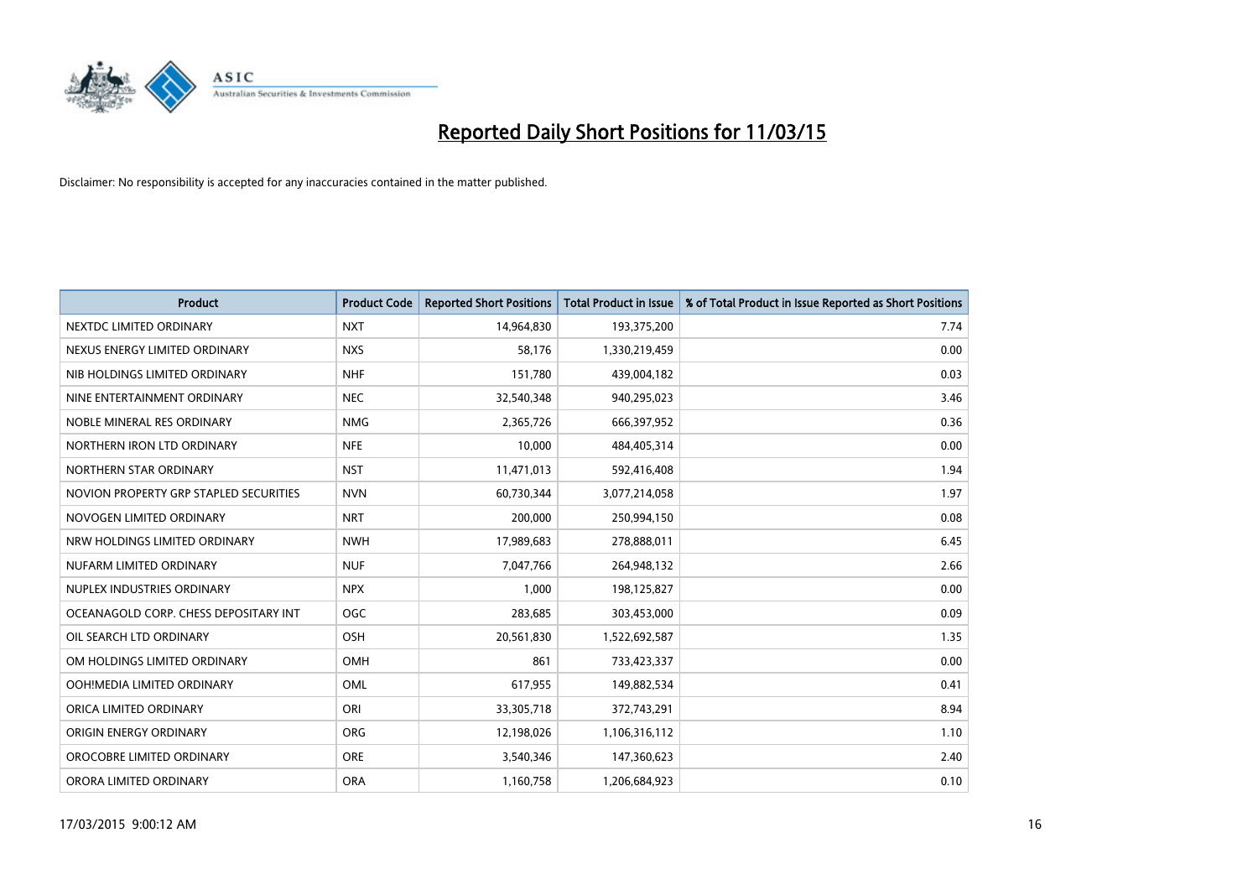

| <b>Product</b>                         | <b>Product Code</b> | <b>Reported Short Positions</b> | <b>Total Product in Issue</b> | % of Total Product in Issue Reported as Short Positions |
|----------------------------------------|---------------------|---------------------------------|-------------------------------|---------------------------------------------------------|
| NEXTDC LIMITED ORDINARY                | <b>NXT</b>          | 14,964,830                      | 193,375,200                   | 7.74                                                    |
| NEXUS ENERGY LIMITED ORDINARY          | <b>NXS</b>          | 58,176                          | 1,330,219,459                 | 0.00                                                    |
| NIB HOLDINGS LIMITED ORDINARY          | <b>NHF</b>          | 151,780                         | 439,004,182                   | 0.03                                                    |
| NINE ENTERTAINMENT ORDINARY            | <b>NEC</b>          | 32,540,348                      | 940,295,023                   | 3.46                                                    |
| NOBLE MINERAL RES ORDINARY             | <b>NMG</b>          | 2,365,726                       | 666,397,952                   | 0.36                                                    |
| NORTHERN IRON LTD ORDINARY             | <b>NFE</b>          | 10,000                          | 484,405,314                   | 0.00                                                    |
| NORTHERN STAR ORDINARY                 | <b>NST</b>          | 11,471,013                      | 592,416,408                   | 1.94                                                    |
| NOVION PROPERTY GRP STAPLED SECURITIES | <b>NVN</b>          | 60,730,344                      | 3,077,214,058                 | 1.97                                                    |
| NOVOGEN LIMITED ORDINARY               | <b>NRT</b>          | 200,000                         | 250,994,150                   | 0.08                                                    |
| NRW HOLDINGS LIMITED ORDINARY          | <b>NWH</b>          | 17,989,683                      | 278,888,011                   | 6.45                                                    |
| NUFARM LIMITED ORDINARY                | <b>NUF</b>          | 7,047,766                       | 264,948,132                   | 2.66                                                    |
| NUPLEX INDUSTRIES ORDINARY             | <b>NPX</b>          | 1,000                           | 198,125,827                   | 0.00                                                    |
| OCEANAGOLD CORP. CHESS DEPOSITARY INT  | <b>OGC</b>          | 283,685                         | 303,453,000                   | 0.09                                                    |
| OIL SEARCH LTD ORDINARY                | OSH                 | 20,561,830                      | 1,522,692,587                 | 1.35                                                    |
| OM HOLDINGS LIMITED ORDINARY           | OMH                 | 861                             | 733,423,337                   | 0.00                                                    |
| OOH!MEDIA LIMITED ORDINARY             | OML                 | 617,955                         | 149,882,534                   | 0.41                                                    |
| ORICA LIMITED ORDINARY                 | ORI                 | 33,305,718                      | 372,743,291                   | 8.94                                                    |
| ORIGIN ENERGY ORDINARY                 | <b>ORG</b>          | 12,198,026                      | 1,106,316,112                 | 1.10                                                    |
| OROCOBRE LIMITED ORDINARY              | <b>ORE</b>          | 3,540,346                       | 147,360,623                   | 2.40                                                    |
| ORORA LIMITED ORDINARY                 | <b>ORA</b>          | 1,160,758                       | 1,206,684,923                 | 0.10                                                    |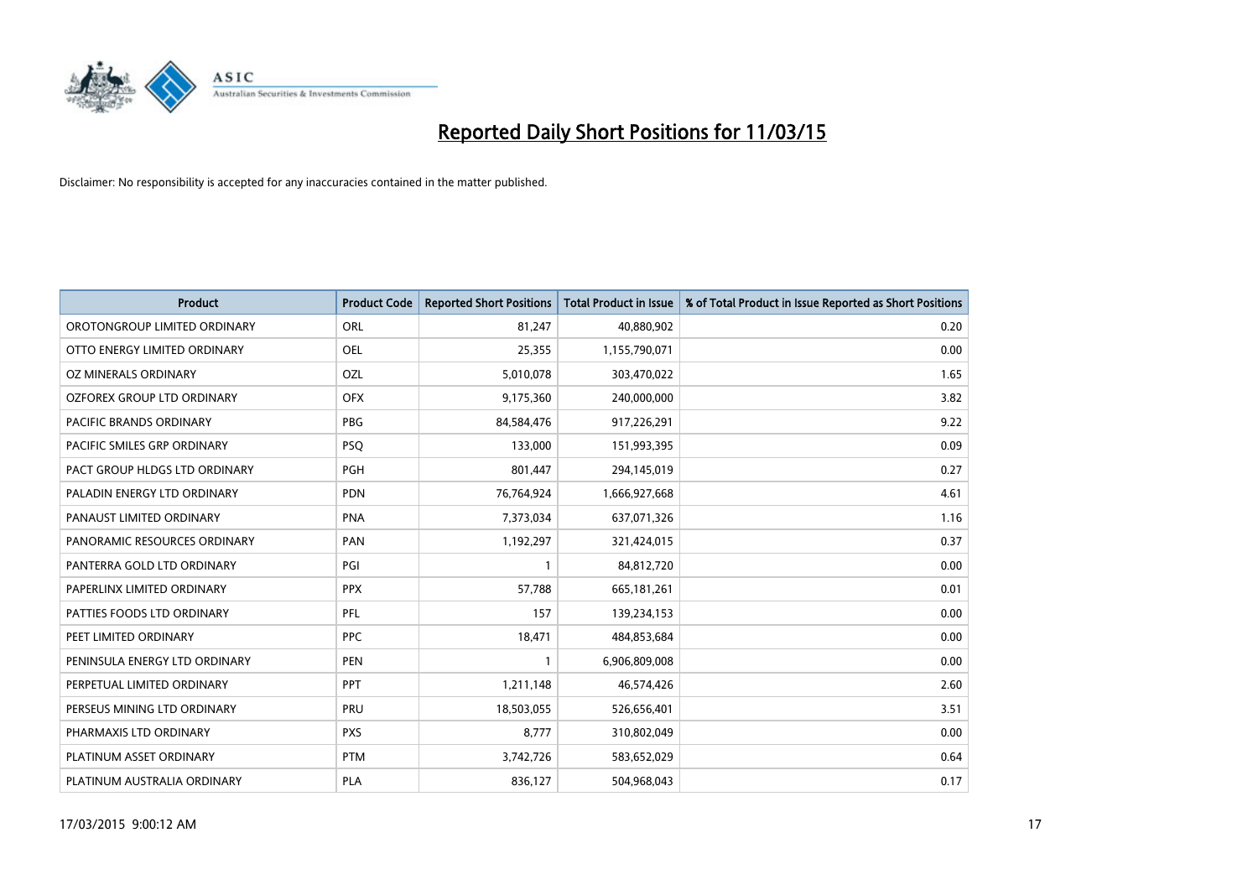

| <b>Product</b>                 | <b>Product Code</b> | <b>Reported Short Positions</b> | <b>Total Product in Issue</b> | % of Total Product in Issue Reported as Short Positions |
|--------------------------------|---------------------|---------------------------------|-------------------------------|---------------------------------------------------------|
| OROTONGROUP LIMITED ORDINARY   | ORL                 | 81,247                          | 40,880,902                    | 0.20                                                    |
| OTTO ENERGY LIMITED ORDINARY   | OEL                 | 25,355                          | 1,155,790,071                 | 0.00                                                    |
| OZ MINERALS ORDINARY           | OZL                 | 5,010,078                       | 303,470,022                   | 1.65                                                    |
| OZFOREX GROUP LTD ORDINARY     | <b>OFX</b>          | 9,175,360                       | 240,000,000                   | 3.82                                                    |
| <b>PACIFIC BRANDS ORDINARY</b> | <b>PBG</b>          | 84,584,476                      | 917,226,291                   | 9.22                                                    |
| PACIFIC SMILES GRP ORDINARY    | <b>PSQ</b>          | 133,000                         | 151,993,395                   | 0.09                                                    |
| PACT GROUP HLDGS LTD ORDINARY  | PGH                 | 801,447                         | 294,145,019                   | 0.27                                                    |
| PALADIN ENERGY LTD ORDINARY    | PDN                 | 76,764,924                      | 1,666,927,668                 | 4.61                                                    |
| PANAUST LIMITED ORDINARY       | <b>PNA</b>          | 7,373,034                       | 637,071,326                   | 1.16                                                    |
| PANORAMIC RESOURCES ORDINARY   | PAN                 | 1,192,297                       | 321,424,015                   | 0.37                                                    |
| PANTERRA GOLD LTD ORDINARY     | PGI                 | 1                               | 84,812,720                    | 0.00                                                    |
| PAPERLINX LIMITED ORDINARY     | <b>PPX</b>          | 57,788                          | 665, 181, 261                 | 0.01                                                    |
| PATTIES FOODS LTD ORDINARY     | <b>PFL</b>          | 157                             | 139,234,153                   | 0.00                                                    |
| PEET LIMITED ORDINARY          | <b>PPC</b>          | 18,471                          | 484,853,684                   | 0.00                                                    |
| PENINSULA ENERGY LTD ORDINARY  | <b>PEN</b>          | $\mathbf{1}$                    | 6,906,809,008                 | 0.00                                                    |
| PERPETUAL LIMITED ORDINARY     | <b>PPT</b>          | 1,211,148                       | 46,574,426                    | 2.60                                                    |
| PERSEUS MINING LTD ORDINARY    | PRU                 | 18,503,055                      | 526,656,401                   | 3.51                                                    |
| PHARMAXIS LTD ORDINARY         | <b>PXS</b>          | 8,777                           | 310,802,049                   | 0.00                                                    |
| PLATINUM ASSET ORDINARY        | <b>PTM</b>          | 3,742,726                       | 583,652,029                   | 0.64                                                    |
| PLATINUM AUSTRALIA ORDINARY    | PLA                 | 836,127                         | 504,968,043                   | 0.17                                                    |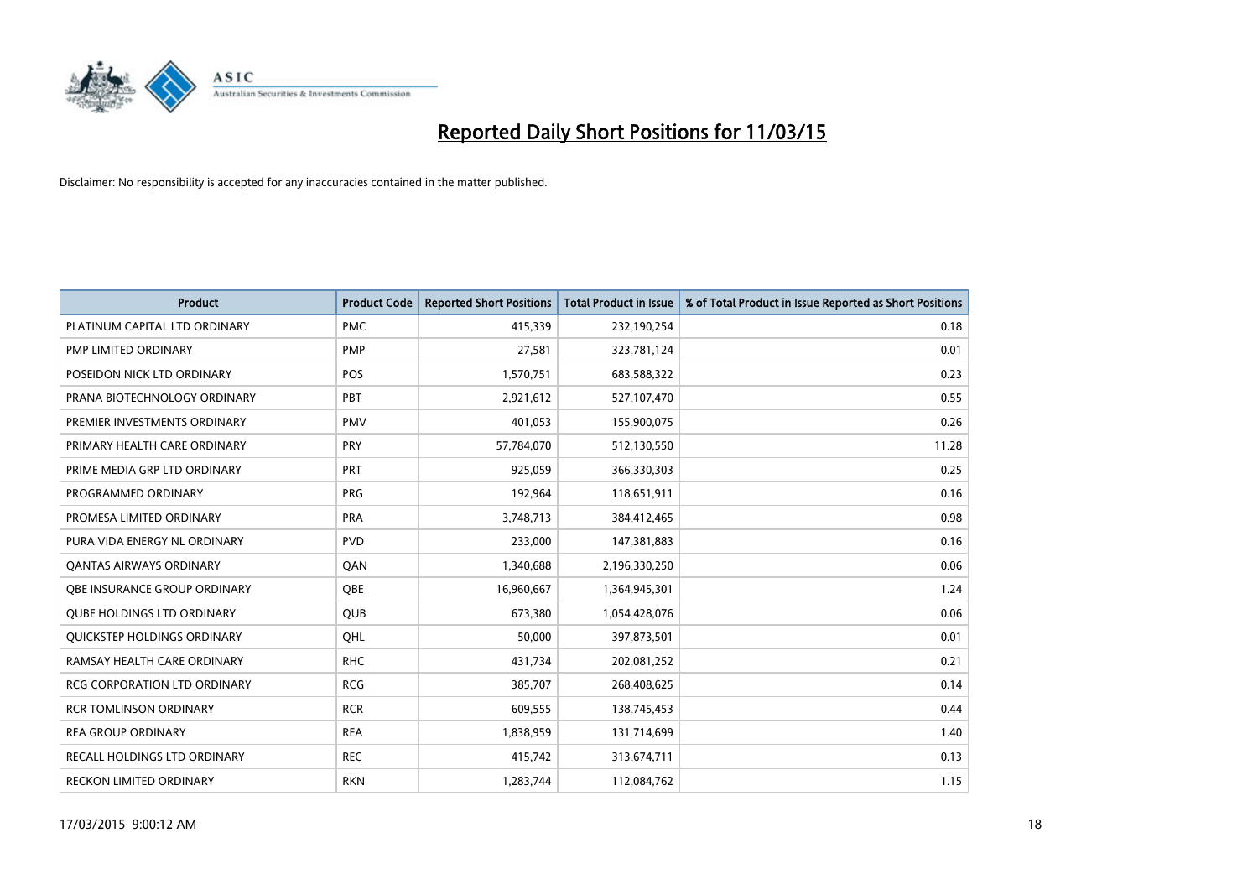

| <b>Product</b>                      | <b>Product Code</b> | <b>Reported Short Positions</b> | <b>Total Product in Issue</b> | % of Total Product in Issue Reported as Short Positions |
|-------------------------------------|---------------------|---------------------------------|-------------------------------|---------------------------------------------------------|
| PLATINUM CAPITAL LTD ORDINARY       | <b>PMC</b>          | 415,339                         | 232,190,254                   | 0.18                                                    |
| PMP LIMITED ORDINARY                | <b>PMP</b>          | 27,581                          | 323,781,124                   | 0.01                                                    |
| POSEIDON NICK LTD ORDINARY          | <b>POS</b>          | 1,570,751                       | 683,588,322                   | 0.23                                                    |
| PRANA BIOTECHNOLOGY ORDINARY        | <b>PBT</b>          | 2,921,612                       | 527,107,470                   | 0.55                                                    |
| PREMIER INVESTMENTS ORDINARY        | <b>PMV</b>          | 401,053                         | 155,900,075                   | 0.26                                                    |
| PRIMARY HEALTH CARE ORDINARY        | PRY                 | 57,784,070                      | 512,130,550                   | 11.28                                                   |
| PRIME MEDIA GRP LTD ORDINARY        | <b>PRT</b>          | 925,059                         | 366,330,303                   | 0.25                                                    |
| PROGRAMMED ORDINARY                 | <b>PRG</b>          | 192,964                         | 118,651,911                   | 0.16                                                    |
| PROMESA LIMITED ORDINARY            | <b>PRA</b>          | 3,748,713                       | 384,412,465                   | 0.98                                                    |
| PURA VIDA ENERGY NL ORDINARY        | <b>PVD</b>          | 233,000                         | 147,381,883                   | 0.16                                                    |
| <b>QANTAS AIRWAYS ORDINARY</b>      | QAN                 | 1,340,688                       | 2,196,330,250                 | 0.06                                                    |
| <b>OBE INSURANCE GROUP ORDINARY</b> | <b>OBE</b>          | 16,960,667                      | 1,364,945,301                 | 1.24                                                    |
| <b>QUBE HOLDINGS LTD ORDINARY</b>   | <b>QUB</b>          | 673,380                         | 1,054,428,076                 | 0.06                                                    |
| QUICKSTEP HOLDINGS ORDINARY         | OHL                 | 50,000                          | 397,873,501                   | 0.01                                                    |
| RAMSAY HEALTH CARE ORDINARY         | <b>RHC</b>          | 431,734                         | 202,081,252                   | 0.21                                                    |
| RCG CORPORATION LTD ORDINARY        | <b>RCG</b>          | 385,707                         | 268,408,625                   | 0.14                                                    |
| <b>RCR TOMLINSON ORDINARY</b>       | <b>RCR</b>          | 609,555                         | 138,745,453                   | 0.44                                                    |
| <b>REA GROUP ORDINARY</b>           | <b>REA</b>          | 1,838,959                       | 131,714,699                   | 1.40                                                    |
| RECALL HOLDINGS LTD ORDINARY        | <b>REC</b>          | 415,742                         | 313,674,711                   | 0.13                                                    |
| RECKON LIMITED ORDINARY             | <b>RKN</b>          | 1,283,744                       | 112,084,762                   | 1.15                                                    |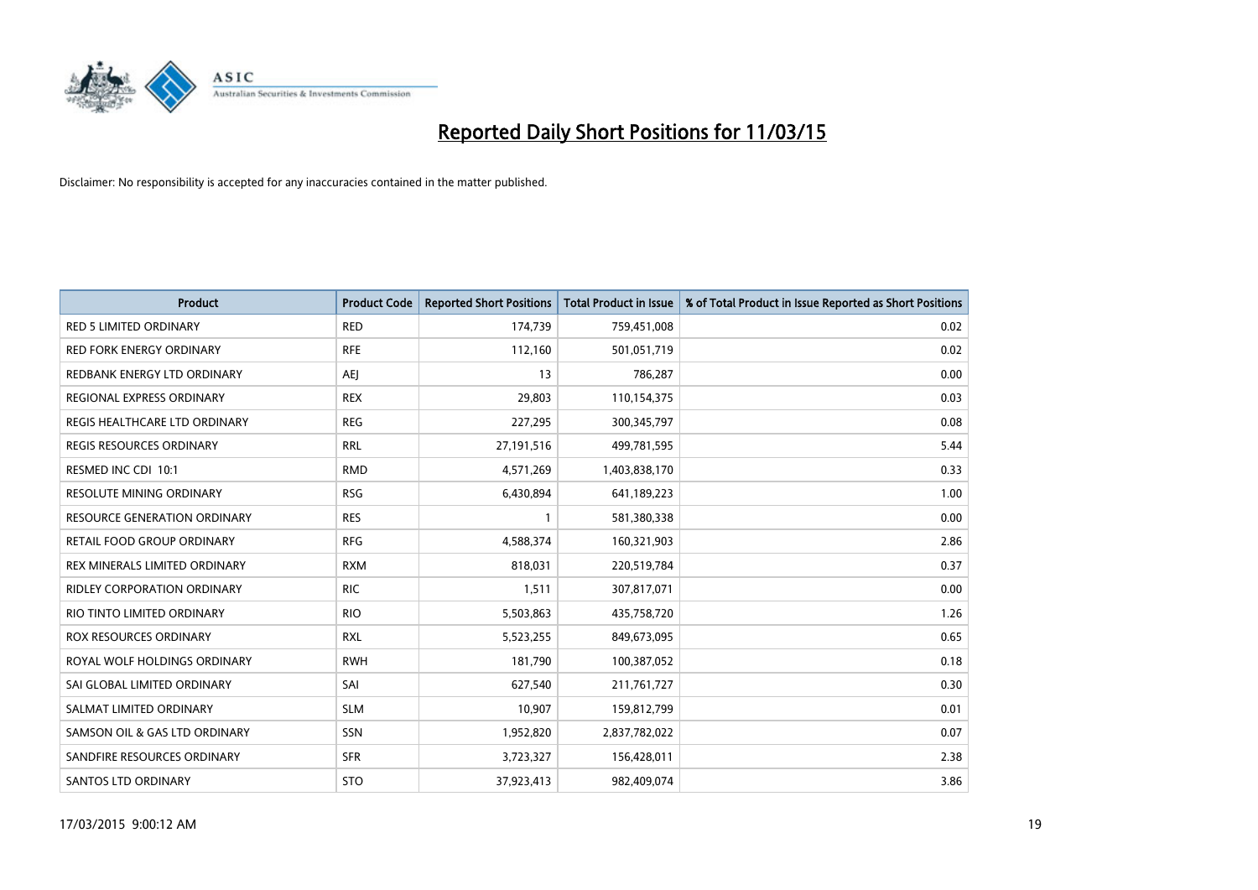

| <b>Product</b>                      | <b>Product Code</b> | <b>Reported Short Positions</b> | <b>Total Product in Issue</b> | % of Total Product in Issue Reported as Short Positions |
|-------------------------------------|---------------------|---------------------------------|-------------------------------|---------------------------------------------------------|
| <b>RED 5 LIMITED ORDINARY</b>       | <b>RED</b>          | 174,739                         | 759,451,008                   | 0.02                                                    |
| <b>RED FORK ENERGY ORDINARY</b>     | <b>RFE</b>          | 112,160                         | 501,051,719                   | 0.02                                                    |
| REDBANK ENERGY LTD ORDINARY         | AEJ                 | 13                              | 786,287                       | 0.00                                                    |
| REGIONAL EXPRESS ORDINARY           | <b>REX</b>          | 29,803                          | 110,154,375                   | 0.03                                                    |
| REGIS HEALTHCARE LTD ORDINARY       | <b>REG</b>          | 227,295                         | 300, 345, 797                 | 0.08                                                    |
| <b>REGIS RESOURCES ORDINARY</b>     | <b>RRL</b>          | 27,191,516                      | 499,781,595                   | 5.44                                                    |
| RESMED INC CDI 10:1                 | <b>RMD</b>          | 4,571,269                       | 1,403,838,170                 | 0.33                                                    |
| <b>RESOLUTE MINING ORDINARY</b>     | <b>RSG</b>          | 6,430,894                       | 641,189,223                   | 1.00                                                    |
| <b>RESOURCE GENERATION ORDINARY</b> | <b>RES</b>          | 1                               | 581,380,338                   | 0.00                                                    |
| <b>RETAIL FOOD GROUP ORDINARY</b>   | <b>RFG</b>          | 4,588,374                       | 160,321,903                   | 2.86                                                    |
| REX MINERALS LIMITED ORDINARY       | <b>RXM</b>          | 818,031                         | 220,519,784                   | 0.37                                                    |
| <b>RIDLEY CORPORATION ORDINARY</b>  | <b>RIC</b>          | 1,511                           | 307,817,071                   | 0.00                                                    |
| RIO TINTO LIMITED ORDINARY          | <b>RIO</b>          | 5,503,863                       | 435,758,720                   | 1.26                                                    |
| <b>ROX RESOURCES ORDINARY</b>       | <b>RXL</b>          | 5,523,255                       | 849,673,095                   | 0.65                                                    |
| ROYAL WOLF HOLDINGS ORDINARY        | <b>RWH</b>          | 181,790                         | 100,387,052                   | 0.18                                                    |
| SAI GLOBAL LIMITED ORDINARY         | SAI                 | 627,540                         | 211,761,727                   | 0.30                                                    |
| SALMAT LIMITED ORDINARY             | <b>SLM</b>          | 10,907                          | 159,812,799                   | 0.01                                                    |
| SAMSON OIL & GAS LTD ORDINARY       | SSN                 | 1,952,820                       | 2,837,782,022                 | 0.07                                                    |
| SANDFIRE RESOURCES ORDINARY         | <b>SFR</b>          | 3,723,327                       | 156,428,011                   | 2.38                                                    |
| <b>SANTOS LTD ORDINARY</b>          | <b>STO</b>          | 37,923,413                      | 982,409,074                   | 3.86                                                    |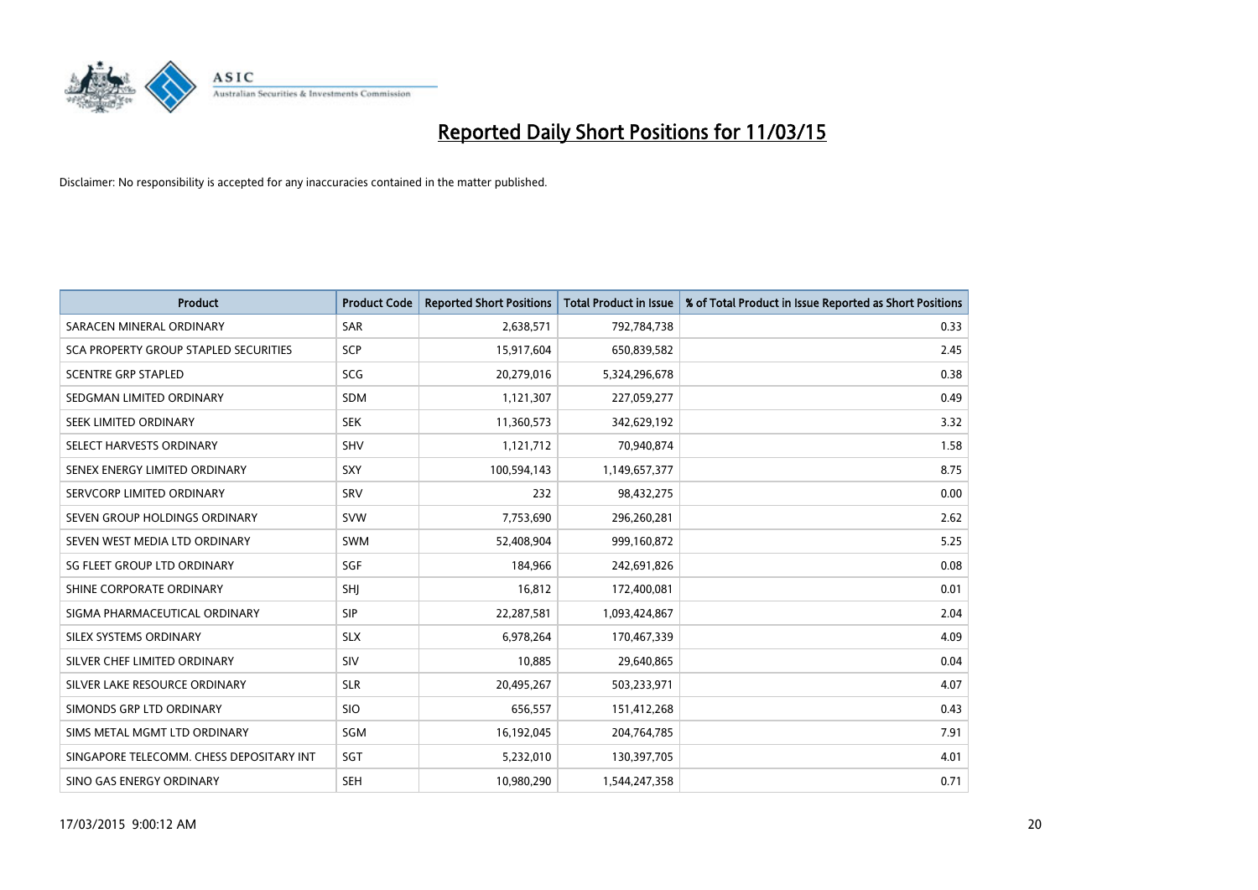

| <b>Product</b>                           | <b>Product Code</b> | <b>Reported Short Positions</b> | <b>Total Product in Issue</b> | % of Total Product in Issue Reported as Short Positions |
|------------------------------------------|---------------------|---------------------------------|-------------------------------|---------------------------------------------------------|
| SARACEN MINERAL ORDINARY                 | <b>SAR</b>          | 2,638,571                       | 792,784,738                   | 0.33                                                    |
| SCA PROPERTY GROUP STAPLED SECURITIES    | <b>SCP</b>          | 15,917,604                      | 650,839,582                   | 2.45                                                    |
| <b>SCENTRE GRP STAPLED</b>               | SCG                 | 20,279,016                      | 5,324,296,678                 | 0.38                                                    |
| SEDGMAN LIMITED ORDINARY                 | <b>SDM</b>          | 1,121,307                       | 227,059,277                   | 0.49                                                    |
| SEEK LIMITED ORDINARY                    | <b>SEK</b>          | 11,360,573                      | 342,629,192                   | 3.32                                                    |
| SELECT HARVESTS ORDINARY                 | SHV                 | 1,121,712                       | 70,940,874                    | 1.58                                                    |
| SENEX ENERGY LIMITED ORDINARY            | SXY                 | 100,594,143                     | 1,149,657,377                 | 8.75                                                    |
| SERVCORP LIMITED ORDINARY                | SRV                 | 232                             | 98,432,275                    | 0.00                                                    |
| SEVEN GROUP HOLDINGS ORDINARY            | <b>SVW</b>          | 7,753,690                       | 296,260,281                   | 2.62                                                    |
| SEVEN WEST MEDIA LTD ORDINARY            | SWM                 | 52,408,904                      | 999,160,872                   | 5.25                                                    |
| SG FLEET GROUP LTD ORDINARY              | <b>SGF</b>          | 184,966                         | 242,691,826                   | 0.08                                                    |
| SHINE CORPORATE ORDINARY                 | SHJ                 | 16,812                          | 172,400,081                   | 0.01                                                    |
| SIGMA PHARMACEUTICAL ORDINARY            | <b>SIP</b>          | 22,287,581                      | 1,093,424,867                 | 2.04                                                    |
| SILEX SYSTEMS ORDINARY                   | <b>SLX</b>          | 6,978,264                       | 170,467,339                   | 4.09                                                    |
| SILVER CHEF LIMITED ORDINARY             | SIV                 | 10,885                          | 29,640,865                    | 0.04                                                    |
| SILVER LAKE RESOURCE ORDINARY            | <b>SLR</b>          | 20,495,267                      | 503,233,971                   | 4.07                                                    |
| SIMONDS GRP LTD ORDINARY                 | <b>SIO</b>          | 656,557                         | 151,412,268                   | 0.43                                                    |
| SIMS METAL MGMT LTD ORDINARY             | SGM                 | 16,192,045                      | 204,764,785                   | 7.91                                                    |
| SINGAPORE TELECOMM. CHESS DEPOSITARY INT | SGT                 | 5,232,010                       | 130,397,705                   | 4.01                                                    |
| SINO GAS ENERGY ORDINARY                 | <b>SEH</b>          | 10,980,290                      | 1,544,247,358                 | 0.71                                                    |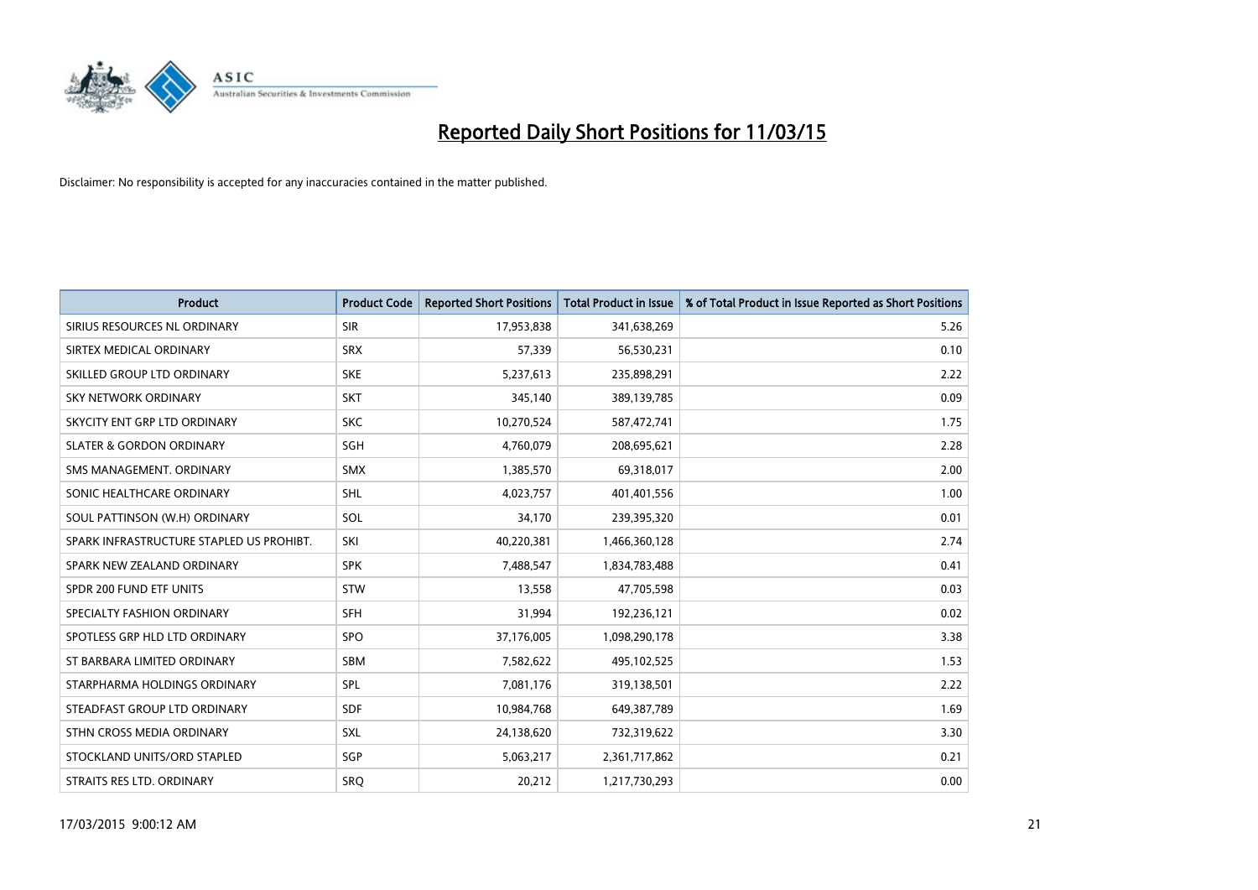

| <b>Product</b>                           | <b>Product Code</b> | <b>Reported Short Positions</b> | <b>Total Product in Issue</b> | % of Total Product in Issue Reported as Short Positions |
|------------------------------------------|---------------------|---------------------------------|-------------------------------|---------------------------------------------------------|
| SIRIUS RESOURCES NL ORDINARY             | <b>SIR</b>          | 17,953,838                      | 341,638,269                   | 5.26                                                    |
| SIRTEX MEDICAL ORDINARY                  | <b>SRX</b>          | 57,339                          | 56,530,231                    | 0.10                                                    |
| SKILLED GROUP LTD ORDINARY               | <b>SKE</b>          | 5,237,613                       | 235,898,291                   | 2.22                                                    |
| <b>SKY NETWORK ORDINARY</b>              | <b>SKT</b>          | 345,140                         | 389,139,785                   | 0.09                                                    |
| SKYCITY ENT GRP LTD ORDINARY             | <b>SKC</b>          | 10,270,524                      | 587,472,741                   | 1.75                                                    |
| <b>SLATER &amp; GORDON ORDINARY</b>      | <b>SGH</b>          | 4,760,079                       | 208,695,621                   | 2.28                                                    |
| SMS MANAGEMENT, ORDINARY                 | <b>SMX</b>          | 1,385,570                       | 69,318,017                    | 2.00                                                    |
| SONIC HEALTHCARE ORDINARY                | <b>SHL</b>          | 4,023,757                       | 401,401,556                   | 1.00                                                    |
| SOUL PATTINSON (W.H) ORDINARY            | SOL                 | 34,170                          | 239,395,320                   | 0.01                                                    |
| SPARK INFRASTRUCTURE STAPLED US PROHIBT. | SKI                 | 40,220,381                      | 1,466,360,128                 | 2.74                                                    |
| SPARK NEW ZEALAND ORDINARY               | <b>SPK</b>          | 7,488,547                       | 1,834,783,488                 | 0.41                                                    |
| SPDR 200 FUND ETF UNITS                  | <b>STW</b>          | 13,558                          | 47,705,598                    | 0.03                                                    |
| SPECIALTY FASHION ORDINARY               | <b>SFH</b>          | 31,994                          | 192,236,121                   | 0.02                                                    |
| SPOTLESS GRP HLD LTD ORDINARY            | <b>SPO</b>          | 37,176,005                      | 1,098,290,178                 | 3.38                                                    |
| ST BARBARA LIMITED ORDINARY              | SBM                 | 7,582,622                       | 495,102,525                   | 1.53                                                    |
| STARPHARMA HOLDINGS ORDINARY             | SPL                 | 7,081,176                       | 319,138,501                   | 2.22                                                    |
| STEADFAST GROUP LTD ORDINARY             | <b>SDF</b>          | 10,984,768                      | 649,387,789                   | 1.69                                                    |
| STHN CROSS MEDIA ORDINARY                | SXL                 | 24,138,620                      | 732,319,622                   | 3.30                                                    |
| STOCKLAND UNITS/ORD STAPLED              | SGP                 | 5,063,217                       | 2,361,717,862                 | 0.21                                                    |
| STRAITS RES LTD. ORDINARY                | SRQ                 | 20,212                          | 1,217,730,293                 | 0.00                                                    |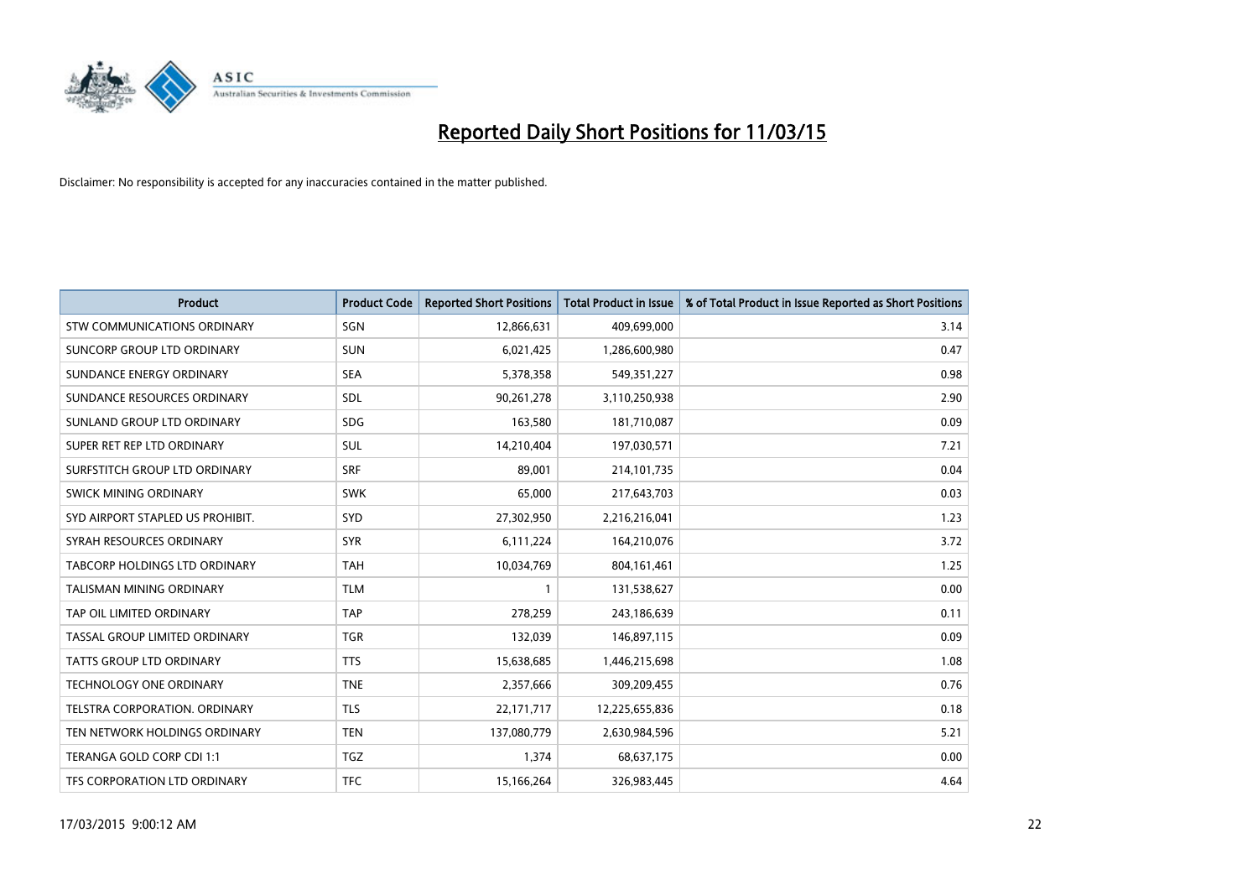

| <b>Product</b>                     | <b>Product Code</b> | <b>Reported Short Positions</b> | <b>Total Product in Issue</b> | % of Total Product in Issue Reported as Short Positions |
|------------------------------------|---------------------|---------------------------------|-------------------------------|---------------------------------------------------------|
| <b>STW COMMUNICATIONS ORDINARY</b> | SGN                 | 12,866,631                      | 409,699,000                   | 3.14                                                    |
| SUNCORP GROUP LTD ORDINARY         | <b>SUN</b>          | 6,021,425                       | 1,286,600,980                 | 0.47                                                    |
| SUNDANCE ENERGY ORDINARY           | <b>SEA</b>          | 5,378,358                       | 549,351,227                   | 0.98                                                    |
| SUNDANCE RESOURCES ORDINARY        | SDL                 | 90,261,278                      | 3,110,250,938                 | 2.90                                                    |
| SUNLAND GROUP LTD ORDINARY         | <b>SDG</b>          | 163,580                         | 181,710,087                   | 0.09                                                    |
| SUPER RET REP LTD ORDINARY         | SUL                 | 14,210,404                      | 197,030,571                   | 7.21                                                    |
| SURFSTITCH GROUP LTD ORDINARY      | <b>SRF</b>          | 89,001                          | 214,101,735                   | 0.04                                                    |
| SWICK MINING ORDINARY              | <b>SWK</b>          | 65,000                          | 217,643,703                   | 0.03                                                    |
| SYD AIRPORT STAPLED US PROHIBIT.   | SYD                 | 27,302,950                      | 2,216,216,041                 | 1.23                                                    |
| SYRAH RESOURCES ORDINARY           | <b>SYR</b>          | 6,111,224                       | 164,210,076                   | 3.72                                                    |
| TABCORP HOLDINGS LTD ORDINARY      | <b>TAH</b>          | 10,034,769                      | 804, 161, 461                 | 1.25                                                    |
| TALISMAN MINING ORDINARY           | <b>TLM</b>          | 1                               | 131,538,627                   | 0.00                                                    |
| TAP OIL LIMITED ORDINARY           | <b>TAP</b>          | 278,259                         | 243,186,639                   | 0.11                                                    |
| TASSAL GROUP LIMITED ORDINARY      | <b>TGR</b>          | 132,039                         | 146,897,115                   | 0.09                                                    |
| <b>TATTS GROUP LTD ORDINARY</b>    | <b>TTS</b>          | 15,638,685                      | 1,446,215,698                 | 1.08                                                    |
| TECHNOLOGY ONE ORDINARY            | <b>TNE</b>          | 2,357,666                       | 309,209,455                   | 0.76                                                    |
| TELSTRA CORPORATION. ORDINARY      | <b>TLS</b>          | 22,171,717                      | 12,225,655,836                | 0.18                                                    |
| TEN NETWORK HOLDINGS ORDINARY      | <b>TEN</b>          | 137,080,779                     | 2,630,984,596                 | 5.21                                                    |
| TERANGA GOLD CORP CDI 1:1          | <b>TGZ</b>          | 1,374                           | 68,637,175                    | 0.00                                                    |
| TFS CORPORATION LTD ORDINARY       | <b>TFC</b>          | 15,166,264                      | 326,983,445                   | 4.64                                                    |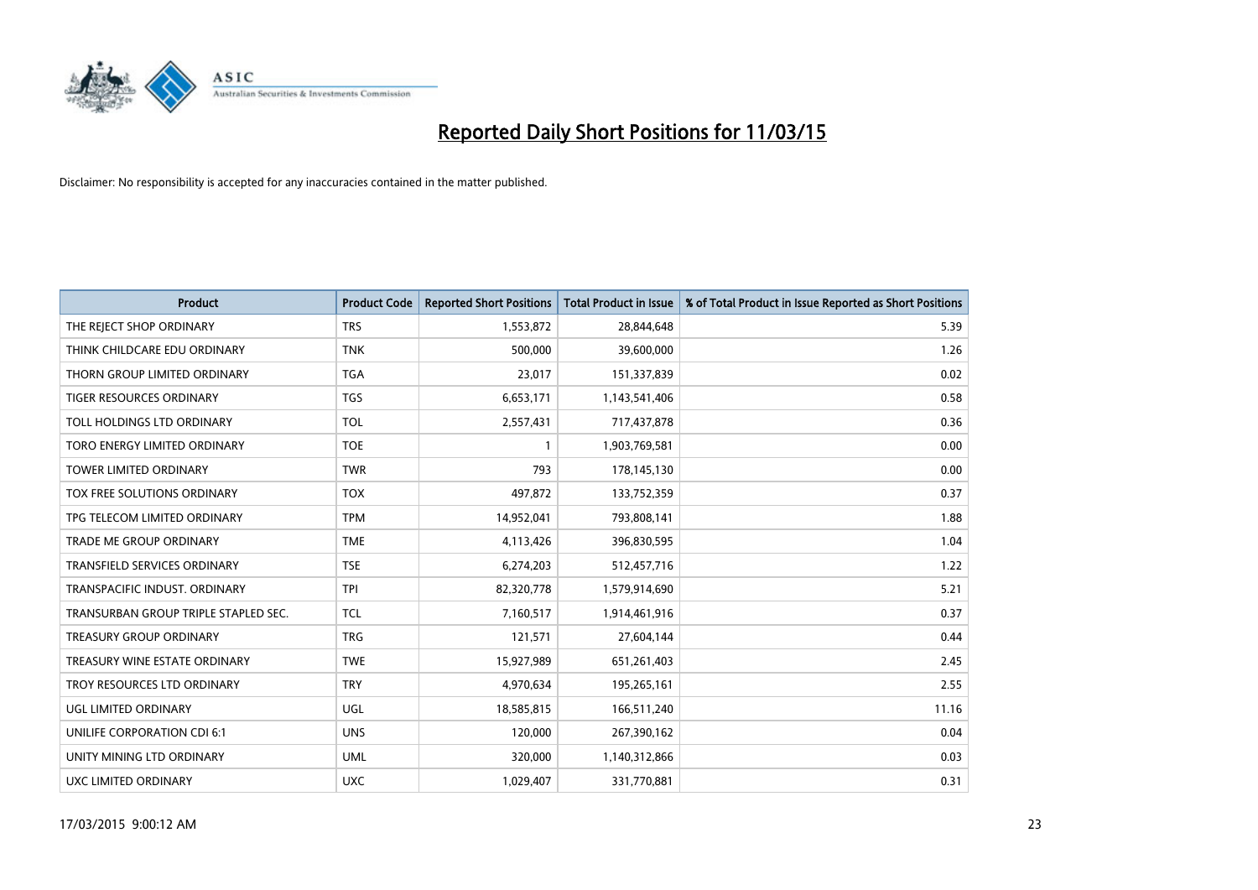

| <b>Product</b>                       | <b>Product Code</b> | <b>Reported Short Positions</b> | <b>Total Product in Issue</b> | % of Total Product in Issue Reported as Short Positions |
|--------------------------------------|---------------------|---------------------------------|-------------------------------|---------------------------------------------------------|
| THE REJECT SHOP ORDINARY             | <b>TRS</b>          | 1,553,872                       | 28,844,648                    | 5.39                                                    |
| THINK CHILDCARE EDU ORDINARY         | <b>TNK</b>          | 500,000                         | 39,600,000                    | 1.26                                                    |
| THORN GROUP LIMITED ORDINARY         | <b>TGA</b>          | 23,017                          | 151,337,839                   | 0.02                                                    |
| TIGER RESOURCES ORDINARY             | <b>TGS</b>          | 6,653,171                       | 1,143,541,406                 | 0.58                                                    |
| TOLL HOLDINGS LTD ORDINARY           | <b>TOL</b>          | 2,557,431                       | 717,437,878                   | 0.36                                                    |
| TORO ENERGY LIMITED ORDINARY         | <b>TOE</b>          | 1                               | 1,903,769,581                 | 0.00                                                    |
| <b>TOWER LIMITED ORDINARY</b>        | <b>TWR</b>          | 793                             | 178,145,130                   | 0.00                                                    |
| TOX FREE SOLUTIONS ORDINARY          | <b>TOX</b>          | 497,872                         | 133,752,359                   | 0.37                                                    |
| TPG TELECOM LIMITED ORDINARY         | <b>TPM</b>          | 14,952,041                      | 793,808,141                   | 1.88                                                    |
| <b>TRADE ME GROUP ORDINARY</b>       | <b>TME</b>          | 4,113,426                       | 396,830,595                   | 1.04                                                    |
| TRANSFIELD SERVICES ORDINARY         | <b>TSE</b>          | 6,274,203                       | 512,457,716                   | 1.22                                                    |
| TRANSPACIFIC INDUST, ORDINARY        | <b>TPI</b>          | 82,320,778                      | 1,579,914,690                 | 5.21                                                    |
| TRANSURBAN GROUP TRIPLE STAPLED SEC. | <b>TCL</b>          | 7,160,517                       | 1,914,461,916                 | 0.37                                                    |
| <b>TREASURY GROUP ORDINARY</b>       | <b>TRG</b>          | 121,571                         | 27,604,144                    | 0.44                                                    |
| TREASURY WINE ESTATE ORDINARY        | <b>TWE</b>          | 15,927,989                      | 651,261,403                   | 2.45                                                    |
| TROY RESOURCES LTD ORDINARY          | <b>TRY</b>          | 4,970,634                       | 195,265,161                   | 2.55                                                    |
| UGL LIMITED ORDINARY                 | UGL                 | 18,585,815                      | 166,511,240                   | 11.16                                                   |
| UNILIFE CORPORATION CDI 6:1          | <b>UNS</b>          | 120,000                         | 267,390,162                   | 0.04                                                    |
| UNITY MINING LTD ORDINARY            | <b>UML</b>          | 320,000                         | 1,140,312,866                 | 0.03                                                    |
| UXC LIMITED ORDINARY                 | <b>UXC</b>          | 1,029,407                       | 331,770,881                   | 0.31                                                    |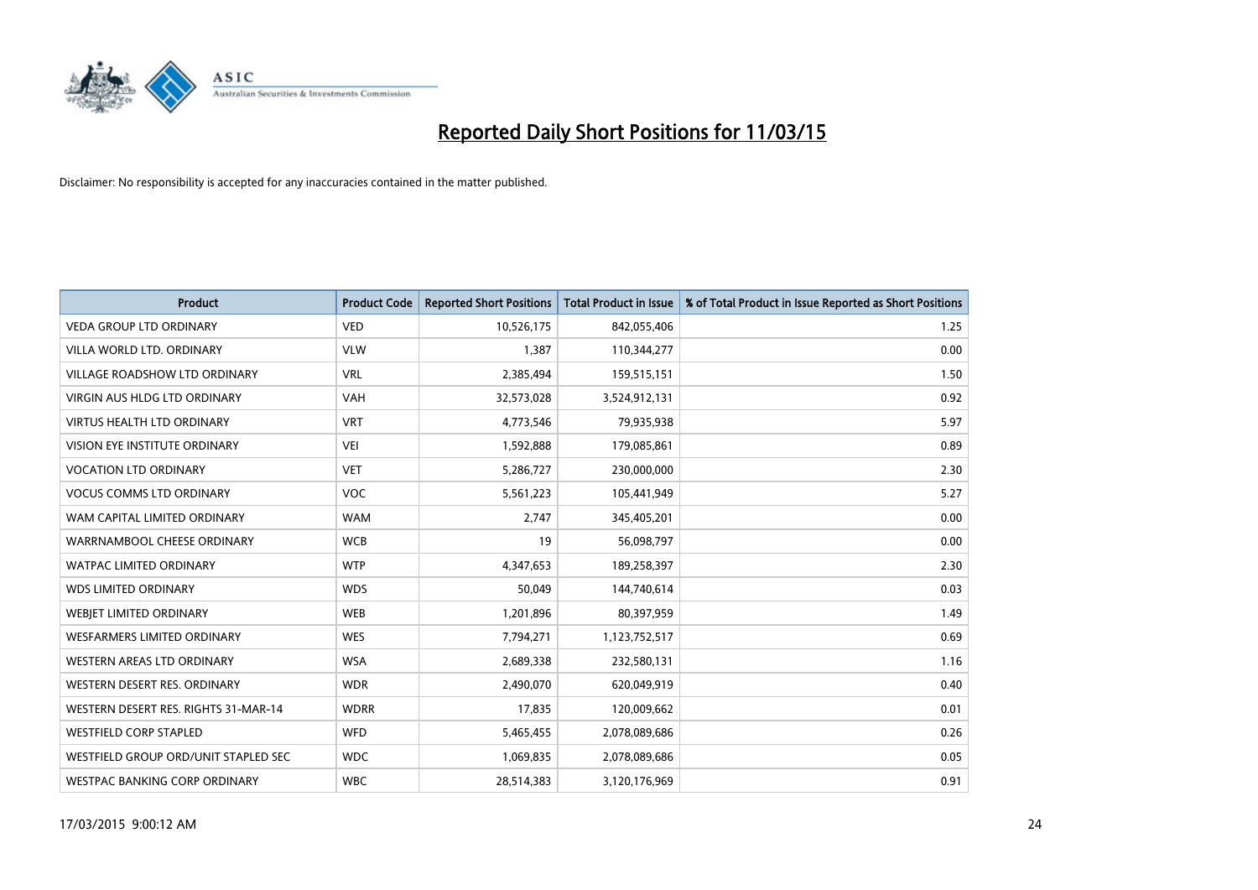

| <b>Product</b>                       | <b>Product Code</b> | <b>Reported Short Positions</b> | <b>Total Product in Issue</b> | % of Total Product in Issue Reported as Short Positions |
|--------------------------------------|---------------------|---------------------------------|-------------------------------|---------------------------------------------------------|
| <b>VEDA GROUP LTD ORDINARY</b>       | <b>VED</b>          | 10,526,175                      | 842,055,406                   | 1.25                                                    |
| VILLA WORLD LTD. ORDINARY            | <b>VLW</b>          | 1,387                           | 110,344,277                   | 0.00                                                    |
| <b>VILLAGE ROADSHOW LTD ORDINARY</b> | <b>VRL</b>          | 2,385,494                       | 159,515,151                   | 1.50                                                    |
| <b>VIRGIN AUS HLDG LTD ORDINARY</b>  | <b>VAH</b>          | 32,573,028                      | 3,524,912,131                 | 0.92                                                    |
| <b>VIRTUS HEALTH LTD ORDINARY</b>    | <b>VRT</b>          | 4,773,546                       | 79,935,938                    | 5.97                                                    |
| <b>VISION EYE INSTITUTE ORDINARY</b> | <b>VEI</b>          | 1,592,888                       | 179,085,861                   | 0.89                                                    |
| <b>VOCATION LTD ORDINARY</b>         | <b>VET</b>          | 5,286,727                       | 230,000,000                   | 2.30                                                    |
| <b>VOCUS COMMS LTD ORDINARY</b>      | <b>VOC</b>          | 5,561,223                       | 105,441,949                   | 5.27                                                    |
| WAM CAPITAL LIMITED ORDINARY         | <b>WAM</b>          | 2,747                           | 345,405,201                   | 0.00                                                    |
| WARRNAMBOOL CHEESE ORDINARY          | <b>WCB</b>          | 19                              | 56,098,797                    | 0.00                                                    |
| WATPAC LIMITED ORDINARY              | <b>WTP</b>          | 4,347,653                       | 189,258,397                   | 2.30                                                    |
| <b>WDS LIMITED ORDINARY</b>          | <b>WDS</b>          | 50,049                          | 144,740,614                   | 0.03                                                    |
| WEBIET LIMITED ORDINARY              | <b>WEB</b>          | 1,201,896                       | 80,397,959                    | 1.49                                                    |
| <b>WESFARMERS LIMITED ORDINARY</b>   | <b>WES</b>          | 7,794,271                       | 1,123,752,517                 | 0.69                                                    |
| WESTERN AREAS LTD ORDINARY           | <b>WSA</b>          | 2,689,338                       | 232,580,131                   | 1.16                                                    |
| WESTERN DESERT RES. ORDINARY         | <b>WDR</b>          | 2,490,070                       | 620,049,919                   | 0.40                                                    |
| WESTERN DESERT RES. RIGHTS 31-MAR-14 | <b>WDRR</b>         | 17,835                          | 120,009,662                   | 0.01                                                    |
| <b>WESTFIELD CORP STAPLED</b>        | <b>WFD</b>          | 5,465,455                       | 2,078,089,686                 | 0.26                                                    |
| WESTFIELD GROUP ORD/UNIT STAPLED SEC | <b>WDC</b>          | 1,069,835                       | 2,078,089,686                 | 0.05                                                    |
| WESTPAC BANKING CORP ORDINARY        | <b>WBC</b>          | 28,514,383                      | 3,120,176,969                 | 0.91                                                    |